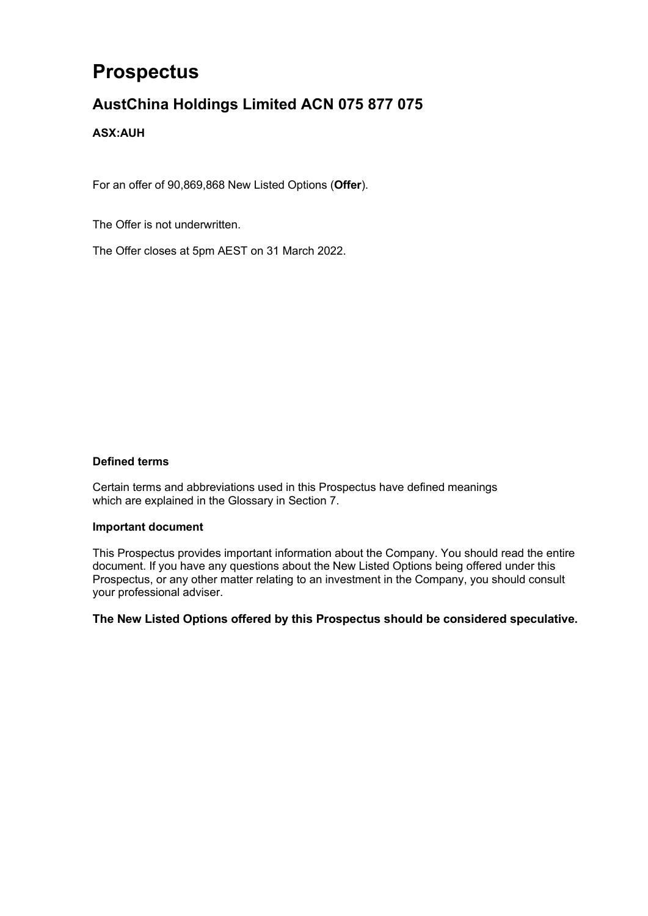# **Prospectus**

# **AustChina Holdings Limited ACN 075 877 075**

## **ASX:AUH**

For an offer of 90,869,868 New Listed Options (**Offer**).

The Offer is not underwritten.

The Offer closes at 5pm AEST on 31 March 2022.

## **Defined terms**

Certain terms and abbreviations used in this Prospectus have defined meanings which are explained in the Glossary in Section [7.](#page-30-0)

#### **Important document**

This Prospectus provides important information about the Company. You should read the entire document. If you have any questions about the New Listed Options being offered under this Prospectus, or any other matter relating to an investment in the Company, you should consult your professional adviser.

**The New Listed Options offered by this Prospectus should be considered speculative.**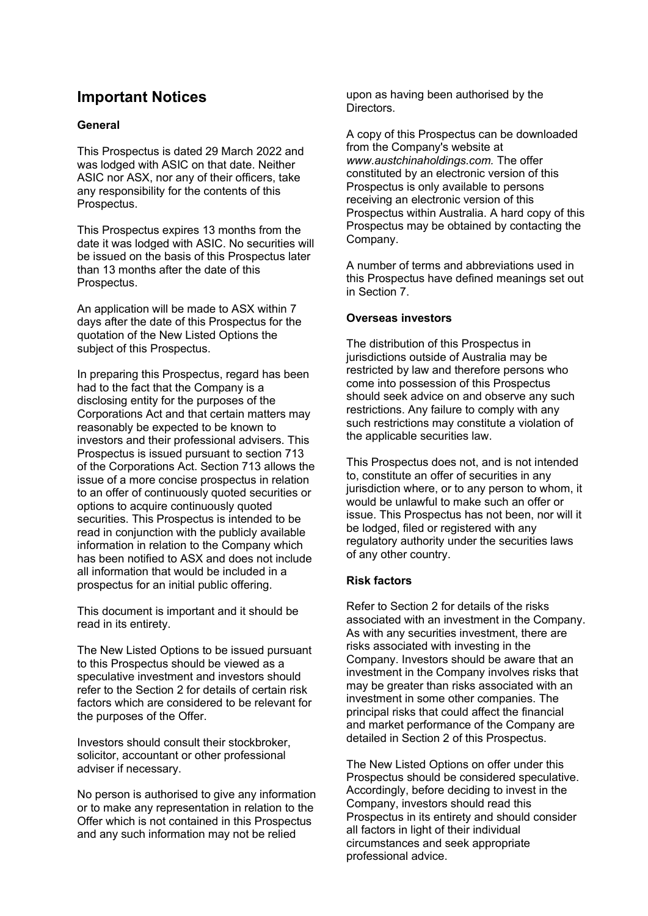## **Important Notices**

## **General**

This Prospectus is dated 29 March 2022 and was lodged with ASIC on that date. Neither ASIC nor ASX, nor any of their officers, take any responsibility for the contents of this Prospectus.

This Prospectus expires 13 months from the date it was lodged with ASIC. No securities will be issued on the basis of this Prospectus later than 13 months after the date of this Prospectus.

An application will be made to ASX within 7 days after the date of this Prospectus for the quotation of the New Listed Options the subject of this Prospectus.

In preparing this Prospectus, regard has been had to the fact that the Company is a disclosing entity for the purposes of the Corporations Act and that certain matters may reasonably be expected to be known to investors and their professional advisers. This Prospectus is issued pursuant to section 713 of the Corporations Act. Section 713 allows the issue of a more concise prospectus in relation to an offer of continuously quoted securities or options to acquire continuously quoted securities. This Prospectus is intended to be read in conjunction with the publicly available information in relation to the Company which has been notified to ASX and does not include all information that would be included in a prospectus for an initial public offering.

This document is important and it should be read in its entirety.

The New Listed Options to be issued pursuant to this Prospectus should be viewed as a speculative investment and investors should refer to the Section [2](#page-7-0) for details of certain risk factors which are considered to be relevant for the purposes of the Offer.

Investors should consult their stockbroker, solicitor, accountant or other professional adviser if necessary.

No person is authorised to give any information or to make any representation in relation to the Offer which is not contained in this Prospectus and any such information may not be relied

upon as having been authorised by the Directors.

A copy of this Prospectus can be downloaded from the Company's website at *www.austchinaholdings.com.* The offer constituted by an electronic version of this Prospectus is only available to persons receiving an electronic version of this Prospectus within Australia. A hard copy of this Prospectus may be obtained by contacting the Company.

A number of terms and abbreviations used in this Prospectus have defined meanings set out in Section [7.](#page-30-0)

## **Overseas investors**

The distribution of this Prospectus in jurisdictions outside of Australia may be restricted by law and therefore persons who come into possession of this Prospectus should seek advice on and observe any such restrictions. Any failure to comply with any such restrictions may constitute a violation of the applicable securities law.

This Prospectus does not, and is not intended to, constitute an offer of securities in any jurisdiction where, or to any person to whom, it would be unlawful to make such an offer or issue. This Prospectus has not been, nor will it be lodged, filed or registered with any regulatory authority under the securities laws of any other country.

#### **Risk factors**

Refer to Section [2](#page-7-0) for details of the risks associated with an investment in the Company. As with any securities investment, there are risks associated with investing in the Company. Investors should be aware that an investment in the Company involves risks that may be greater than risks associated with an investment in some other companies. The principal risks that could affect the financial and market performance of the Company are detailed in Section [2](#page-7-0) of this Prospectus.

The New Listed Options on offer under this Prospectus should be considered speculative. Accordingly, before deciding to invest in the Company, investors should read this Prospectus in its entirety and should consider all factors in light of their individual circumstances and seek appropriate professional advice.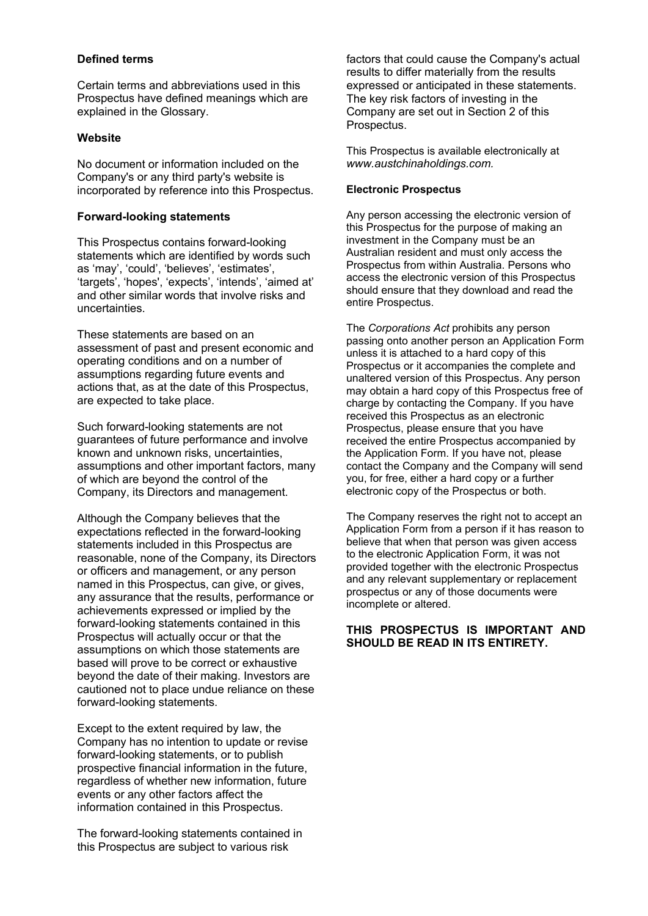### **Defined terms**

Certain terms and abbreviations used in this Prospectus have defined meanings which are explained in the Glossary.

### **Website**

No document or information included on the Company's or any third party's website is incorporated by reference into this Prospectus.

## **Forward-looking statements**

This Prospectus contains forward-looking statements which are identified by words such as 'may', 'could', 'believes', 'estimates', 'targets', 'hopes', 'expects', 'intends', 'aimed at' and other similar words that involve risks and uncertainties.

These statements are based on an assessment of past and present economic and operating conditions and on a number of assumptions regarding future events and actions that, as at the date of this Prospectus, are expected to take place.

Such forward-looking statements are not guarantees of future performance and involve known and unknown risks, uncertainties, assumptions and other important factors, many of which are beyond the control of the Company, its Directors and management.

Although the Company believes that the expectations reflected in the forward-looking statements included in this Prospectus are reasonable, none of the Company, its Directors or officers and management, or any person named in this Prospectus, can give, or gives, any assurance that the results, performance or achievements expressed or implied by the forward-looking statements contained in this Prospectus will actually occur or that the assumptions on which those statements are based will prove to be correct or exhaustive beyond the date of their making. Investors are cautioned not to place undue reliance on these forward-looking statements.

Except to the extent required by law, the Company has no intention to update or revise forward-looking statements, or to publish prospective financial information in the future, regardless of whether new information, future events or any other factors affect the information contained in this Prospectus.

The forward-looking statements contained in this Prospectus are subject to various risk

factors that could cause the Company's actual results to differ materially from the results expressed or anticipated in these statements. The key risk factors of investing in the Company are set out in Section [2](#page-7-0) of this Prospectus.

This Prospectus is available electronically at *www.austchinaholdings.com.*

### **Electronic Prospectus**

Any person accessing the electronic version of this Prospectus for the purpose of making an investment in the Company must be an Australian resident and must only access the Prospectus from within Australia. Persons who access the electronic version of this Prospectus should ensure that they download and read the entire Prospectus.

The *Corporations Act* prohibits any person passing onto another person an Application Form unless it is attached to a hard copy of this Prospectus or it accompanies the complete and unaltered version of this Prospectus. Any person may obtain a hard copy of this Prospectus free of charge by contacting the Company. If you have received this Prospectus as an electronic Prospectus, please ensure that you have received the entire Prospectus accompanied by the Application Form. If you have not, please contact the Company and the Company will send you, for free, either a hard copy or a further electronic copy of the Prospectus or both.

The Company reserves the right not to accept an Application Form from a person if it has reason to believe that when that person was given access to the electronic Application Form, it was not provided together with the electronic Prospectus and any relevant supplementary or replacement prospectus or any of those documents were incomplete or altered.

## **THIS PROSPECTUS IS IMPORTANT AND SHOULD BE READ IN ITS ENTIRETY.**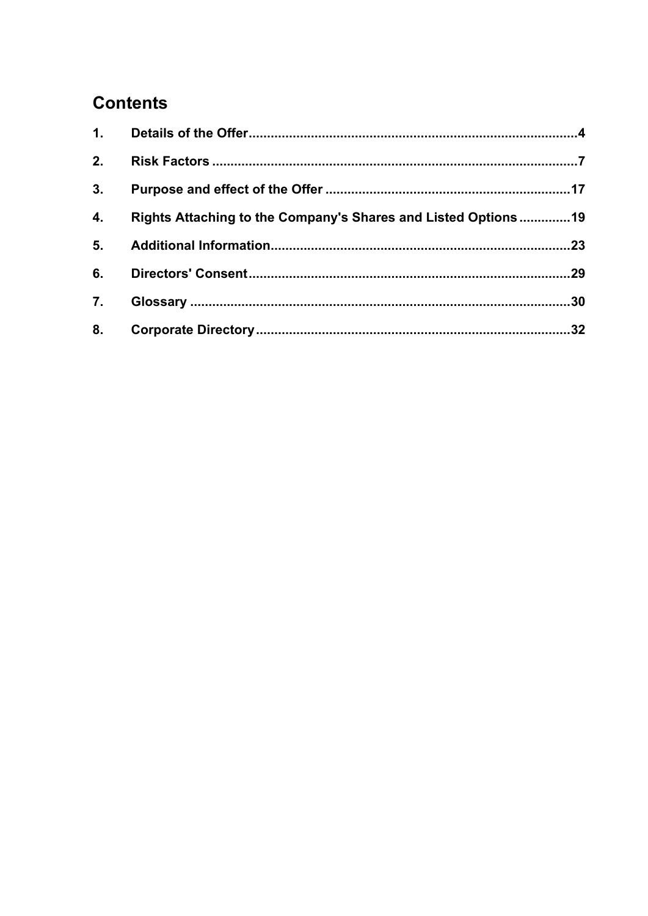# **Contents**

| 2. |                                                               |  |
|----|---------------------------------------------------------------|--|
| 3. |                                                               |  |
| 4. | Rights Attaching to the Company's Shares and Listed Options19 |  |
| 5. |                                                               |  |
| 6. |                                                               |  |
| 7. |                                                               |  |
| 8. |                                                               |  |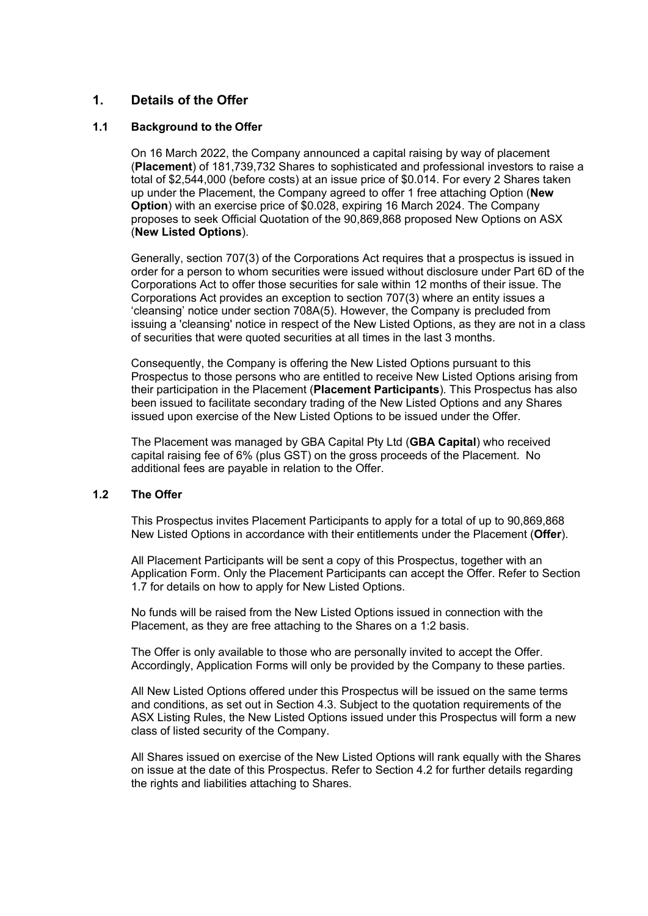## <span id="page-4-0"></span>**1. Details of the Offer**

#### **1.1 Background to the Offer**

On 16 March 2022, the Company announced a capital raising by way of placement (**Placement**) of 181,739,732 Shares to sophisticated and professional investors to raise a total of \$2,544,000 (before costs) at an issue price of \$0.014. For every 2 Shares taken up under the Placement, the Company agreed to offer 1 free attaching Option (**New Option**) with an exercise price of \$0.028, expiring 16 March 2024. The Company proposes to seek Official Quotation of the 90,869,868 proposed New Options on ASX (**New Listed Options**).

Generally, section 707(3) of the Corporations Act requires that a prospectus is issued in order for a person to whom securities were issued without disclosure under Part 6D of the Corporations Act to offer those securities for sale within 12 months of their issue. The Corporations Act provides an exception to section 707(3) where an entity issues a 'cleansing' notice under section 708A(5). However, the Company is precluded from issuing a 'cleansing' notice in respect of the New Listed Options, as they are not in a class of securities that were quoted securities at all times in the last 3 months.

Consequently, the Company is offering the New Listed Options pursuant to this Prospectus to those persons who are entitled to receive New Listed Options arising from their participation in the Placement (**Placement Participants**). This Prospectus has also been issued to facilitate secondary trading of the New Listed Options and any Shares issued upon exercise of the New Listed Options to be issued under the Offer.

The Placement was managed by GBA Capital Pty Ltd (**GBA Capital**) who received capital raising fee of 6% (plus GST) on the gross proceeds of the Placement. No additional fees are payable in relation to the Offer.

## **1.2 The Offer**

This Prospectus invites Placement Participants to apply for a total of up to 90,869,868 New Listed Options in accordance with their entitlements under the Placement (**Offer**).

All Placement Participants will be sent a copy of this Prospectus, together with an Application Form. Only the Placement Participants can accept the Offer. Refer to Section [1.7](#page-5-0) for details on how to apply for New Listed Options.

No funds will be raised from the New Listed Options issued in connection with the Placement, as they are free attaching to the Shares on a 1:2 basis.

The Offer is only available to those who are personally invited to accept the Offer. Accordingly, Application Forms will only be provided by the Company to these parties.

All New Listed Options offered under this Prospectus will be issued on the same terms and conditions, as set out in Section [4.3.](#page-22-0) Subject to the quotation requirements of the ASX Listing Rules, the New Listed Options issued under this Prospectus will form a new class of listed security of the Company.

All Shares issued on exercise of the New Listed Options will rank equally with the Shares on issue at the date of this Prospectus. Refer to Section [4.2](#page-19-1) for further details regarding the rights and liabilities attaching to Shares.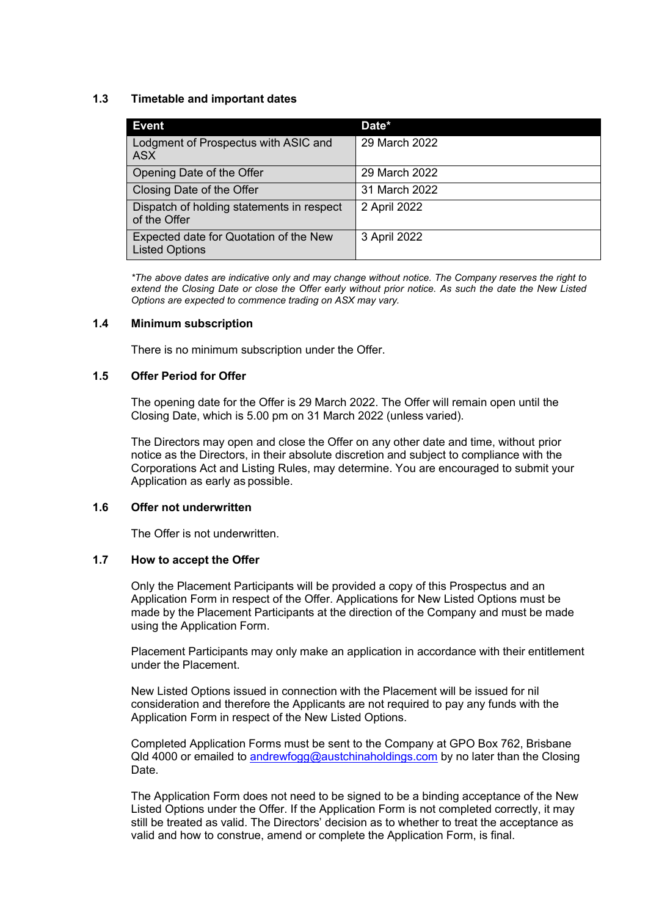## <span id="page-5-1"></span>**1.3 Timetable and important dates**

| <b>Event</b>                                                    | Date*         |
|-----------------------------------------------------------------|---------------|
| Lodgment of Prospectus with ASIC and<br><b>ASX</b>              | 29 March 2022 |
| Opening Date of the Offer                                       | 29 March 2022 |
| Closing Date of the Offer                                       | 31 March 2022 |
| Dispatch of holding statements in respect<br>of the Offer       | 2 April 2022  |
| Expected date for Quotation of the New<br><b>Listed Options</b> | 3 April 2022  |

*\*The above dates are indicative only and may change without notice. The Company reserves the right to extend the Closing Date or close the Offer early without prior notice. As such the date the New Listed Options are expected to commence trading on ASX may vary.* 

#### **1.4 Minimum subscription**

There is no minimum subscription under the Offer.

## **1.5 Offer Period for Offer**

The opening date for the Offer is 29 March 2022. The Offer will remain open until the Closing Date, which is 5.00 pm on 31 March 2022 (unless varied).

The Directors may open and close the Offer on any other date and time, without prior notice as the Directors, in their absolute discretion and subject to compliance with the Corporations Act and Listing Rules, may determine. You are encouraged to submit your Application as early as possible.

#### **1.6 Offer not underwritten**

The Offer is not underwritten.

## <span id="page-5-0"></span>**1.7 How to accept the Offer**

Only the Placement Participants will be provided a copy of this Prospectus and an Application Form in respect of the Offer. Applications for New Listed Options must be made by the Placement Participants at the direction of the Company and must be made using the Application Form.

Placement Participants may only make an application in accordance with their entitlement under the Placement.

New Listed Options issued in connection with the Placement will be issued for nil consideration and therefore the Applicants are not required to pay any funds with the Application Form in respect of the New Listed Options.

Completed Application Forms must be sent to the Company at GPO Box 762, Brisbane Qld 4000 or emailed to [andrewfogg@austchinaholdings.com](mailto:andrewfogg@austchinaholdings.com) by no later than the Closing Date.

The Application Form does not need to be signed to be a binding acceptance of the New Listed Options under the Offer. If the Application Form is not completed correctly, it may still be treated as valid. The Directors' decision as to whether to treat the acceptance as valid and how to construe, amend or complete the Application Form, is final.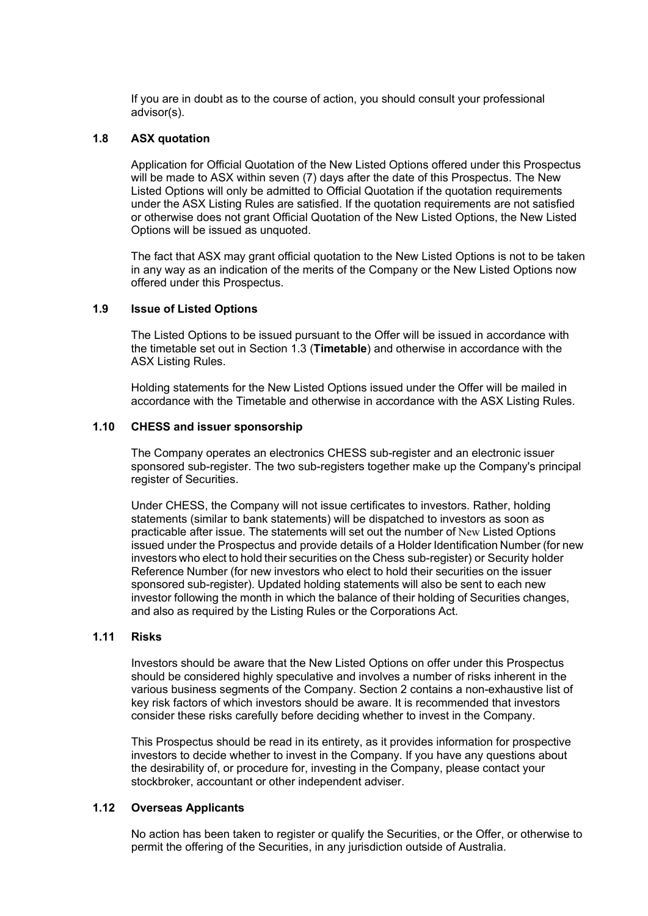If you are in doubt as to the course of action, you should consult your professional advisor(s).

#### **1.8 ASX quotation**

Application for Official Quotation of the New Listed Options offered under this Prospectus will be made to ASX within seven (7) days after the date of this Prospectus. The New Listed Options will only be admitted to Official Quotation if the quotation requirements under the ASX Listing Rules are satisfied. If the quotation requirements are not satisfied or otherwise does not grant Official Quotation of the New Listed Options, the New Listed Options will be issued as unquoted.

The fact that ASX may grant official quotation to the New Listed Options is not to be taken in any way as an indication of the merits of the Company or the New Listed Options now offered under this Prospectus.

#### **1.9 Issue of Listed Options**

The Listed Options to be issued pursuant to the Offer will be issued in accordance with the timetable set out in Section [1.3](#page-5-1) (**Timetable**) and otherwise in accordance with the ASX Listing Rules.

Holding statements for the New Listed Options issued under the Offer will be mailed in accordance with the Timetable and otherwise in accordance with the ASX Listing Rules.

#### **1.10 CHESS and issuer sponsorship**

The Company operates an electronics CHESS sub-register and an electronic issuer sponsored sub-register. The two sub-registers together make up the Company's principal register of Securities.

Under CHESS, the Company will not issue certificates to investors. Rather, holding statements (similar to bank statements) will be dispatched to investors as soon as practicable after issue. The statements will set out the number of New Listed Options issued under the Prospectus and provide details of a Holder Identification Number (for new investors who elect to hold their securities on the Chess sub-register) or Security holder Reference Number (for new investors who elect to hold their securities on the issuer sponsored sub-register). Updated holding statements will also be sent to each new investor following the month in which the balance of their holding of Securities changes, and also as required by the Listing Rules or the Corporations Act.

#### **1.11 Risks**

Investors should be aware that the New Listed Options on offer under this Prospectus should be considered highly speculative and involves a number of risks inherent in the various business segments of the Company. Section [2](#page-7-0) contains a non-exhaustive list of key risk factors of which investors should be aware. It is recommended that investors consider these risks carefully before deciding whether to invest in the Company.

This Prospectus should be read in its entirety, as it provides information for prospective investors to decide whether to invest in the Company. If you have any questions about the desirability of, or procedure for, investing in the Company, please contact your stockbroker, accountant or other independent adviser.

#### **1.12 Overseas Applicants**

No action has been taken to register or qualify the Securities, or the Offer, or otherwise to permit the offering of the Securities, in any jurisdiction outside of Australia.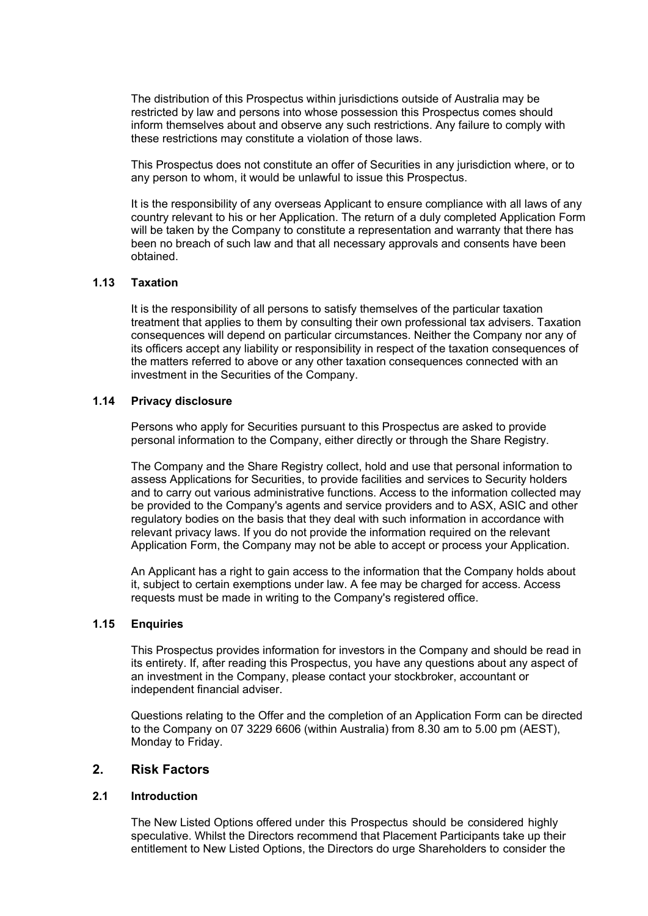The distribution of this Prospectus within jurisdictions outside of Australia may be restricted by law and persons into whose possession this Prospectus comes should inform themselves about and observe any such restrictions. Any failure to comply with these restrictions may constitute a violation of those laws.

This Prospectus does not constitute an offer of Securities in any jurisdiction where, or to any person to whom, it would be unlawful to issue this Prospectus.

It is the responsibility of any overseas Applicant to ensure compliance with all laws of any country relevant to his or her Application. The return of a duly completed Application Form will be taken by the Company to constitute a representation and warranty that there has been no breach of such law and that all necessary approvals and consents have been obtained.

#### **1.13 Taxation**

It is the responsibility of all persons to satisfy themselves of the particular taxation treatment that applies to them by consulting their own professional tax advisers. Taxation consequences will depend on particular circumstances. Neither the Company nor any of its officers accept any liability or responsibility in respect of the taxation consequences of the matters referred to above or any other taxation consequences connected with an investment in the Securities of the Company.

#### **1.14 Privacy disclosure**

Persons who apply for Securities pursuant to this Prospectus are asked to provide personal information to the Company, either directly or through the Share Registry.

The Company and the Share Registry collect, hold and use that personal information to assess Applications for Securities, to provide facilities and services to Security holders and to carry out various administrative functions. Access to the information collected may be provided to the Company's agents and service providers and to ASX, ASIC and other regulatory bodies on the basis that they deal with such information in accordance with relevant privacy laws. If you do not provide the information required on the relevant Application Form, the Company may not be able to accept or process your Application.

An Applicant has a right to gain access to the information that the Company holds about it, subject to certain exemptions under law. A fee may be charged for access. Access requests must be made in writing to the Company's registered office.

#### **1.15 Enquiries**

This Prospectus provides information for investors in the Company and should be read in its entirety. If, after reading this Prospectus, you have any questions about any aspect of an investment in the Company, please contact your stockbroker, accountant or independent financial adviser.

Questions relating to the Offer and the completion of an Application Form can be directed to the Company on 07 3229 6606 (within Australia) from 8.30 am to 5.00 pm (AEST), Monday to Friday.

## <span id="page-7-0"></span>**2. Risk Factors**

#### **2.1 Introduction**

The New Listed Options offered under this Prospectus should be considered highly speculative. Whilst the Directors recommend that Placement Participants take up their entitlement to New Listed Options, the Directors do urge Shareholders to consider the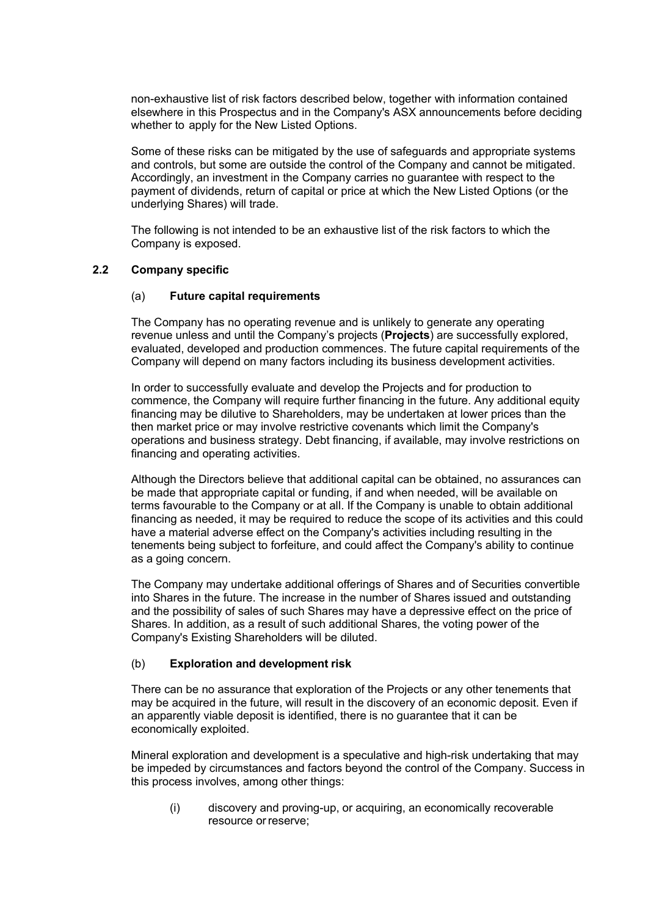non-exhaustive list of risk factors described below, together with information contained elsewhere in this Prospectus and in the Company's ASX announcements before deciding whether to apply for the New Listed Options.

Some of these risks can be mitigated by the use of safeguards and appropriate systems and controls, but some are outside the control of the Company and cannot be mitigated. Accordingly, an investment in the Company carries no guarantee with respect to the payment of dividends, return of capital or price at which the New Listed Options (or the underlying Shares) will trade.

The following is not intended to be an exhaustive list of the risk factors to which the Company is exposed.

#### **2.2 Company specific**

#### (a) **Future capital requirements**

The Company has no operating revenue and is unlikely to generate any operating revenue unless and until the Company's projects (**Projects**) are successfully explored, evaluated, developed and production commences. The future capital requirements of the Company will depend on many factors including its business development activities.

In order to successfully evaluate and develop the Projects and for production to commence, the Company will require further financing in the future. Any additional equity financing may be dilutive to Shareholders, may be undertaken at lower prices than the then market price or may involve restrictive covenants which limit the Company's operations and business strategy. Debt financing, if available, may involve restrictions on financing and operating activities.

Although the Directors believe that additional capital can be obtained, no assurances can be made that appropriate capital or funding, if and when needed, will be available on terms favourable to the Company or at all. If the Company is unable to obtain additional financing as needed, it may be required to reduce the scope of its activities and this could have a material adverse effect on the Company's activities including resulting in the tenements being subject to forfeiture, and could affect the Company's ability to continue as a going concern.

The Company may undertake additional offerings of Shares and of Securities convertible into Shares in the future. The increase in the number of Shares issued and outstanding and the possibility of sales of such Shares may have a depressive effect on the price of Shares. In addition, as a result of such additional Shares, the voting power of the Company's Existing Shareholders will be diluted.

#### (b) **Exploration and development risk**

There can be no assurance that exploration of the Projects or any other tenements that may be acquired in the future, will result in the discovery of an economic deposit. Even if an apparently viable deposit is identified, there is no guarantee that it can be economically exploited.

Mineral exploration and development is a speculative and high-risk undertaking that may be impeded by circumstances and factors beyond the control of the Company. Success in this process involves, among other things:

(i) discovery and proving-up, or acquiring, an economically recoverable resource orreserve;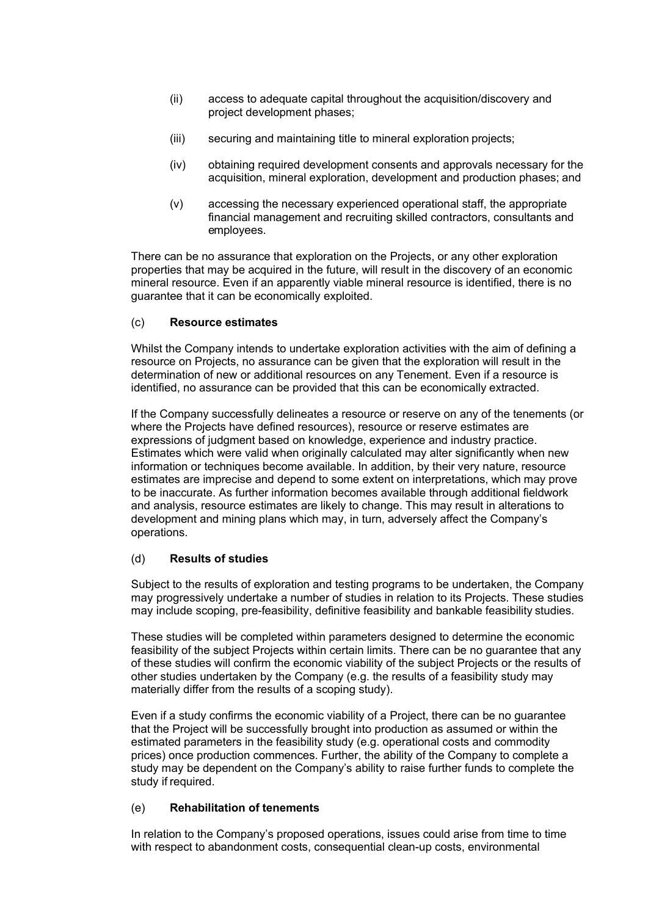- (ii) access to adequate capital throughout the acquisition/discovery and project development phases;
- (iii) securing and maintaining title to mineral exploration projects;
- (iv) obtaining required development consents and approvals necessary for the acquisition, mineral exploration, development and production phases; and
- (v) accessing the necessary experienced operational staff, the appropriate financial management and recruiting skilled contractors, consultants and employees.

There can be no assurance that exploration on the Projects, or any other exploration properties that may be acquired in the future, will result in the discovery of an economic mineral resource. Even if an apparently viable mineral resource is identified, there is no guarantee that it can be economically exploited.

## (c) **Resource estimates**

Whilst the Company intends to undertake exploration activities with the aim of defining a resource on Projects, no assurance can be given that the exploration will result in the determination of new or additional resources on any Tenement. Even if a resource is identified, no assurance can be provided that this can be economically extracted.

If the Company successfully delineates a resource or reserve on any of the tenements (or where the Projects have defined resources), resource or reserve estimates are expressions of judgment based on knowledge, experience and industry practice. Estimates which were valid when originally calculated may alter significantly when new information or techniques become available. In addition, by their very nature, resource estimates are imprecise and depend to some extent on interpretations, which may prove to be inaccurate. As further information becomes available through additional fieldwork and analysis, resource estimates are likely to change. This may result in alterations to development and mining plans which may, in turn, adversely affect the Company's operations.

## (d) **Results of studies**

Subject to the results of exploration and testing programs to be undertaken, the Company may progressively undertake a number of studies in relation to its Projects. These studies may include scoping, pre-feasibility, definitive feasibility and bankable feasibility studies.

These studies will be completed within parameters designed to determine the economic feasibility of the subject Projects within certain limits. There can be no guarantee that any of these studies will confirm the economic viability of the subject Projects or the results of other studies undertaken by the Company (e.g. the results of a feasibility study may materially differ from the results of a scoping study).

Even if a study confirms the economic viability of a Project, there can be no guarantee that the Project will be successfully brought into production as assumed or within the estimated parameters in the feasibility study (e.g. operational costs and commodity prices) once production commences. Further, the ability of the Company to complete a study may be dependent on the Company's ability to raise further funds to complete the study if required.

## (e) **Rehabilitation of tenements**

In relation to the Company's proposed operations, issues could arise from time to time with respect to abandonment costs, consequential clean-up costs, environmental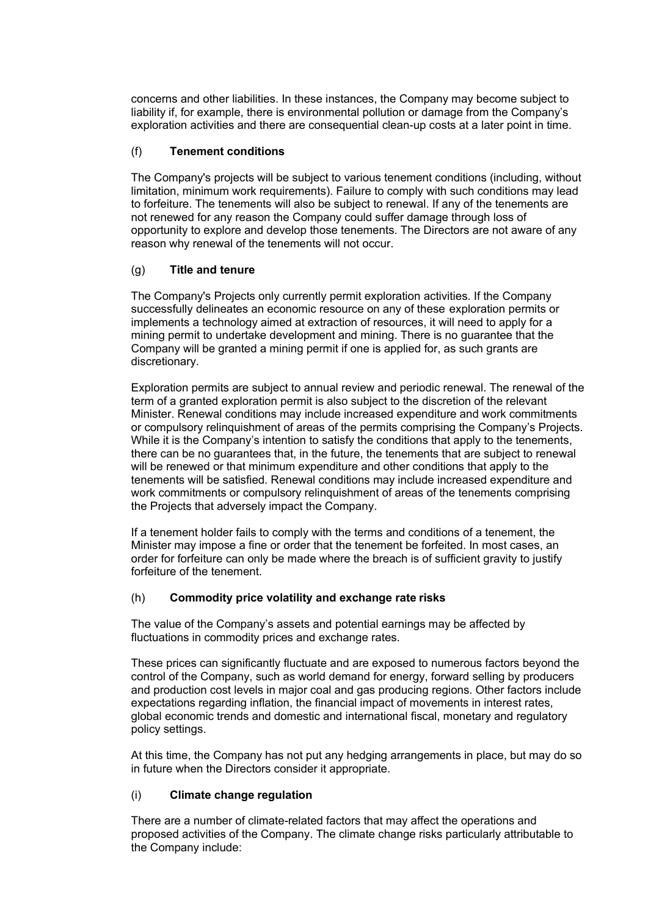concerns and other liabilities. In these instances, the Company may become subject to liability if, for example, there is environmental pollution or damage from the Company's exploration activities and there are consequential clean-up costs at a later point in time.

## (f) **Tenement conditions**

The Company's projects will be subject to various tenement conditions (including, without limitation, minimum work requirements). Failure to comply with such conditions may lead to forfeiture. The tenements will also be subject to renewal. If any of the tenements are not renewed for any reason the Company could suffer damage through loss of opportunity to explore and develop those tenements. The Directors are not aware of any reason why renewal of the tenements will not occur.

## (g) **Title and tenure**

The Company's Projects only currently permit exploration activities. If the Company successfully delineates an economic resource on any of these exploration permits or implements a technology aimed at extraction of resources, it will need to apply for a mining permit to undertake development and mining. There is no guarantee that the Company will be granted a mining permit if one is applied for, as such grants are discretionary.

Exploration permits are subject to annual review and periodic renewal. The renewal of the term of a granted exploration permit is also subject to the discretion of the relevant Minister. Renewal conditions may include increased expenditure and work commitments or compulsory relinquishment of areas of the permits comprising the Company's Projects. While it is the Company's intention to satisfy the conditions that apply to the tenements, there can be no guarantees that, in the future, the tenements that are subject to renewal will be renewed or that minimum expenditure and other conditions that apply to the tenements will be satisfied. Renewal conditions may include increased expenditure and work commitments or compulsory relinquishment of areas of the tenements comprising the Projects that adversely impact the Company.

If a tenement holder fails to comply with the terms and conditions of a tenement, the Minister may impose a fine or order that the tenement be forfeited. In most cases, an order for forfeiture can only be made where the breach is of sufficient gravity to justify forfeiture of the tenement.

## (h) **Commodity price volatility and exchange rate risks**

The value of the Company's assets and potential earnings may be affected by fluctuations in commodity prices and exchange rates.

These prices can significantly fluctuate and are exposed to numerous factors beyond the control of the Company, such as world demand for energy, forward selling by producers and production cost levels in major coal and gas producing regions. Other factors include expectations regarding inflation, the financial impact of movements in interest rates, global economic trends and domestic and international fiscal, monetary and regulatory policy settings.

At this time, the Company has not put any hedging arrangements in place, but may do so in future when the Directors consider it appropriate.

#### (i) **Climate change regulation**

There are a number of climate-related factors that may affect the operations and proposed activities of the Company. The climate change risks particularly attributable to the Company include: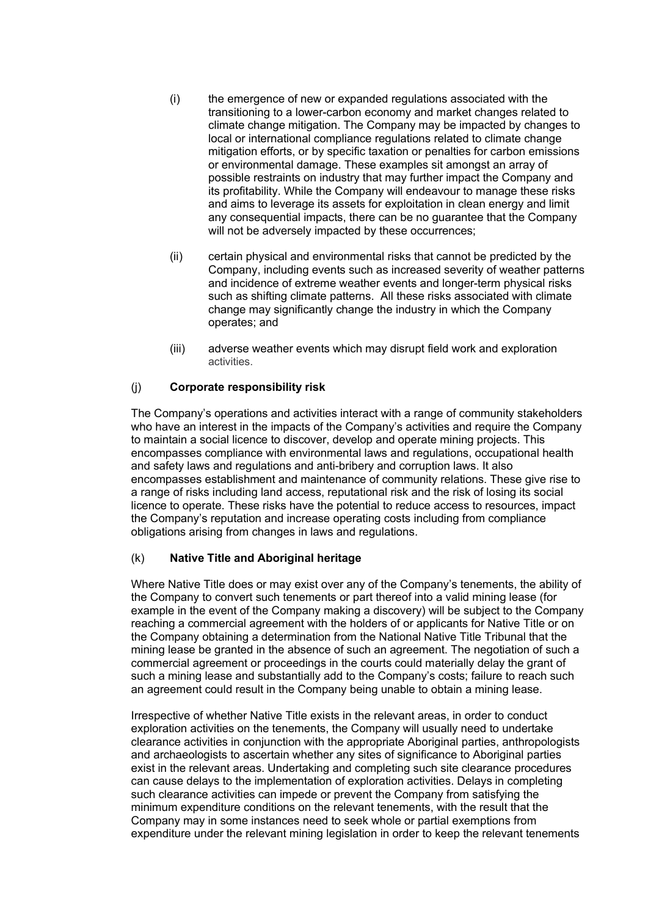- (i) the emergence of new or expanded regulations associated with the transitioning to a lower-carbon economy and market changes related to climate change mitigation. The Company may be impacted by changes to local or international compliance regulations related to climate change mitigation efforts, or by specific taxation or penalties for carbon emissions or environmental damage. These examples sit amongst an array of possible restraints on industry that may further impact the Company and its profitability. While the Company will endeavour to manage these risks and aims to leverage its assets for exploitation in clean energy and limit any consequential impacts, there can be no guarantee that the Company will not be adversely impacted by these occurrences;
- (ii) certain physical and environmental risks that cannot be predicted by the Company, including events such as increased severity of weather patterns and incidence of extreme weather events and longer-term physical risks such as shifting climate patterns. All these risks associated with climate change may significantly change the industry in which the Company operates; and
- (iii) adverse weather events which may disrupt field work and exploration activities.

## (j) **Corporate responsibility risk**

The Company's operations and activities interact with a range of community stakeholders who have an interest in the impacts of the Company's activities and require the Company to maintain a social licence to discover, develop and operate mining projects. This encompasses compliance with environmental laws and regulations, occupational health and safety laws and regulations and anti-bribery and corruption laws. It also encompasses establishment and maintenance of community relations. These give rise to a range of risks including land access, reputational risk and the risk of losing its social licence to operate. These risks have the potential to reduce access to resources, impact the Company's reputation and increase operating costs including from compliance obligations arising from changes in laws and regulations.

#### (k) **Native Title and Aboriginal heritage**

Where Native Title does or may exist over any of the Company's tenements, the ability of the Company to convert such tenements or part thereof into a valid mining lease (for example in the event of the Company making a discovery) will be subject to the Company reaching a commercial agreement with the holders of or applicants for Native Title or on the Company obtaining a determination from the National Native Title Tribunal that the mining lease be granted in the absence of such an agreement. The negotiation of such a commercial agreement or proceedings in the courts could materially delay the grant of such a mining lease and substantially add to the Company's costs; failure to reach such an agreement could result in the Company being unable to obtain a mining lease.

Irrespective of whether Native Title exists in the relevant areas, in order to conduct exploration activities on the tenements, the Company will usually need to undertake clearance activities in conjunction with the appropriate Aboriginal parties, anthropologists and archaeologists to ascertain whether any sites of significance to Aboriginal parties exist in the relevant areas. Undertaking and completing such site clearance procedures can cause delays to the implementation of exploration activities. Delays in completing such clearance activities can impede or prevent the Company from satisfying the minimum expenditure conditions on the relevant tenements, with the result that the Company may in some instances need to seek whole or partial exemptions from expenditure under the relevant mining legislation in order to keep the relevant tenements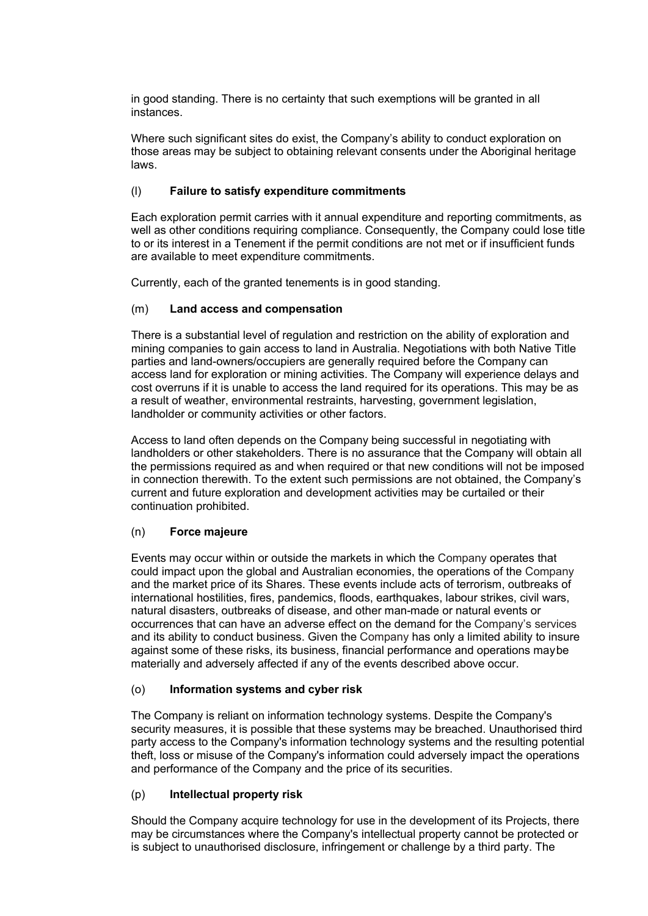in good standing. There is no certainty that such exemptions will be granted in all instances.

Where such significant sites do exist, the Company's ability to conduct exploration on those areas may be subject to obtaining relevant consents under the Aboriginal heritage laws.

## (l) **Failure to satisfy expenditure commitments**

Each exploration permit carries with it annual expenditure and reporting commitments, as well as other conditions requiring compliance. Consequently, the Company could lose title to or its interest in a Tenement if the permit conditions are not met or if insufficient funds are available to meet expenditure commitments.

Currently, each of the granted tenements is in good standing.

## (m) **Land access and compensation**

There is a substantial level of regulation and restriction on the ability of exploration and mining companies to gain access to land in Australia. Negotiations with both Native Title parties and land-owners/occupiers are generally required before the Company can access land for exploration or mining activities. The Company will experience delays and cost overruns if it is unable to access the land required for its operations. This may be as a result of weather, environmental restraints, harvesting, government legislation, landholder or community activities or other factors.

Access to land often depends on the Company being successful in negotiating with landholders or other stakeholders. There is no assurance that the Company will obtain all the permissions required as and when required or that new conditions will not be imposed in connection therewith. To the extent such permissions are not obtained, the Company's current and future exploration and development activities may be curtailed or their continuation prohibited.

#### (n) **Force majeure**

Events may occur within or outside the markets in which the Company operates that could impact upon the global and Australian economies, the operations of the Company and the market price of its Shares. These events include acts of terrorism, outbreaks of international hostilities, fires, pandemics, floods, earthquakes, labour strikes, civil wars, natural disasters, outbreaks of disease, and other man-made or natural events or occurrences that can have an adverse effect on the demand for the Company's services and its ability to conduct business. Given the Company has only a limited ability to insure against some of these risks, its business, financial performance and operations maybe materially and adversely affected if any of the events described above occur.

#### (o) **Information systems and cyber risk**

The Company is reliant on information technology systems. Despite the Company's security measures, it is possible that these systems may be breached. Unauthorised third party access to the Company's information technology systems and the resulting potential theft, loss or misuse of the Company's information could adversely impact the operations and performance of the Company and the price of its securities.

## (p) **Intellectual property risk**

Should the Company acquire technology for use in the development of its Projects, there may be circumstances where the Company's intellectual property cannot be protected or is subject to unauthorised disclosure, infringement or challenge by a third party. The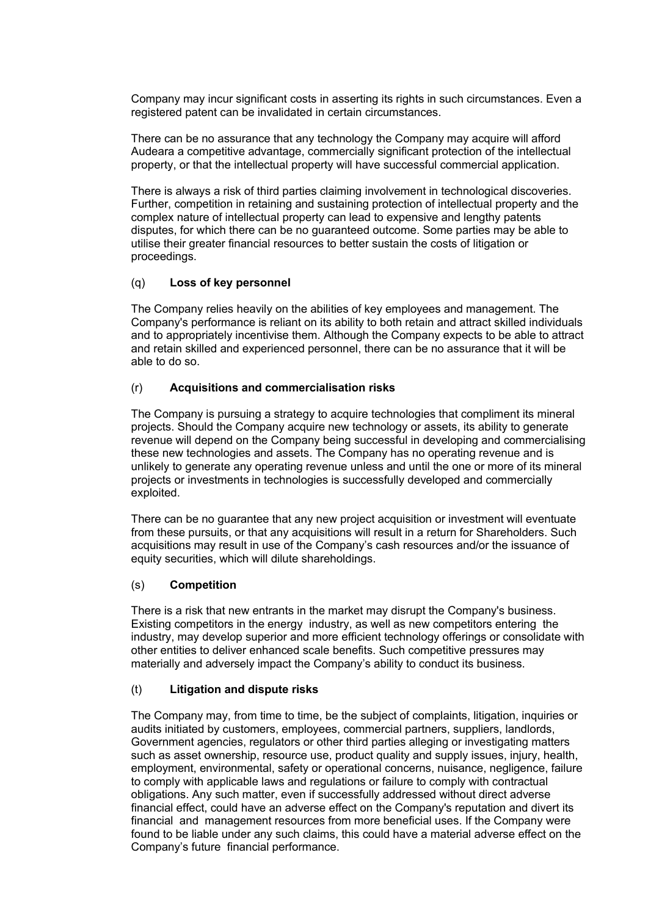Company may incur significant costs in asserting its rights in such circumstances. Even a registered patent can be invalidated in certain circumstances.

There can be no assurance that any technology the Company may acquire will afford Audeara a competitive advantage, commercially significant protection of the intellectual property, or that the intellectual property will have successful commercial application.

There is always a risk of third parties claiming involvement in technological discoveries. Further, competition in retaining and sustaining protection of intellectual property and the complex nature of intellectual property can lead to expensive and lengthy patents disputes, for which there can be no guaranteed outcome. Some parties may be able to utilise their greater financial resources to better sustain the costs of litigation or proceedings.

## (q) **Loss of key personnel**

The Company relies heavily on the abilities of key employees and management. The Company's performance is reliant on its ability to both retain and attract skilled individuals and to appropriately incentivise them. Although the Company expects to be able to attract and retain skilled and experienced personnel, there can be no assurance that it will be able to do so.

## (r) **Acquisitions and commercialisation risks**

The Company is pursuing a strategy to acquire technologies that compliment its mineral projects. Should the Company acquire new technology or assets, its ability to generate revenue will depend on the Company being successful in developing and commercialising these new technologies and assets. The Company has no operating revenue and is unlikely to generate any operating revenue unless and until the one or more of its mineral projects or investments in technologies is successfully developed and commercially exploited.

There can be no guarantee that any new project acquisition or investment will eventuate from these pursuits, or that any acquisitions will result in a return for Shareholders. Such acquisitions may result in use of the Company's cash resources and/or the issuance of equity securities, which will dilute shareholdings.

#### (s) **Competition**

There is a risk that new entrants in the market may disrupt the Company's business. Existing competitors in the energy industry, as well as new competitors entering the industry, may develop superior and more efficient technology offerings or consolidate with other entities to deliver enhanced scale benefits. Such competitive pressures may materially and adversely impact the Company's ability to conduct its business.

#### (t) **Litigation and dispute risks**

The Company may, from time to time, be the subject of complaints, litigation, inquiries or audits initiated by customers, employees, commercial partners, suppliers, landlords, Government agencies, regulators or other third parties alleging or investigating matters such as asset ownership, resource use, product quality and supply issues, injury, health, employment, environmental, safety or operational concerns, nuisance, negligence, failure to comply with applicable laws and regulations or failure to comply with contractual obligations. Any such matter, even if successfully addressed without direct adverse financial effect, could have an adverse effect on the Company's reputation and divert its financial and management resources from more beneficial uses. If the Company were found to be liable under any such claims, this could have a material adverse effect on the Company's future financial performance.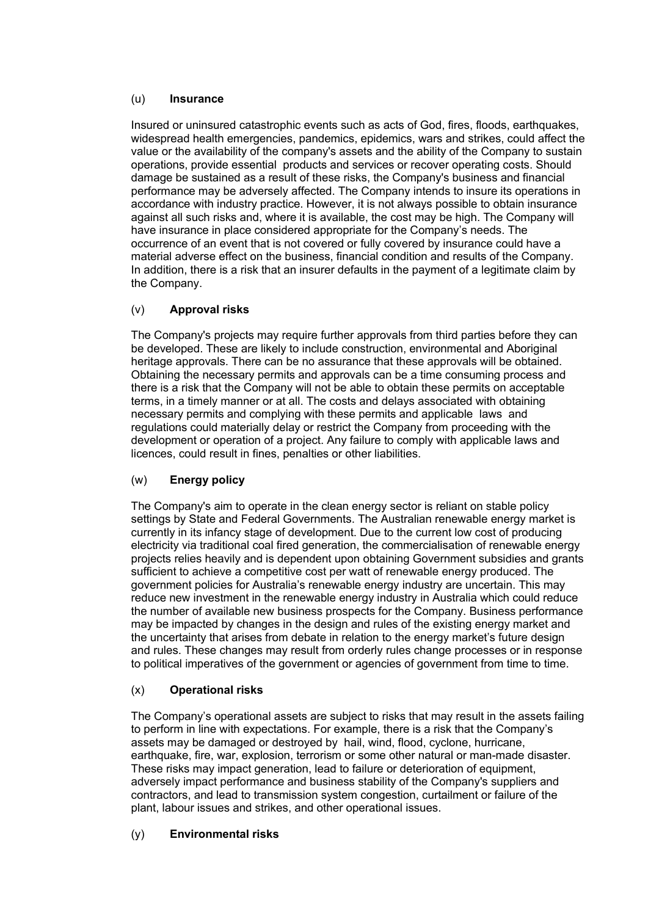## (u) **Insurance**

Insured or uninsured catastrophic events such as acts of God, fires, floods, earthquakes, widespread health emergencies, pandemics, epidemics, wars and strikes, could affect the value or the availability of the company's assets and the ability of the Company to sustain operations, provide essential products and services or recover operating costs. Should damage be sustained as a result of these risks, the Company's business and financial performance may be adversely affected. The Company intends to insure its operations in accordance with industry practice. However, it is not always possible to obtain insurance against all such risks and, where it is available, the cost may be high. The Company will have insurance in place considered appropriate for the Company's needs. The occurrence of an event that is not covered or fully covered by insurance could have a material adverse effect on the business, financial condition and results of the Company. In addition, there is a risk that an insurer defaults in the payment of a legitimate claim by the Company.

## (v) **Approval risks**

The Company's projects may require further approvals from third parties before they can be developed. These are likely to include construction, environmental and Aboriginal heritage approvals. There can be no assurance that these approvals will be obtained. Obtaining the necessary permits and approvals can be a time consuming process and there is a risk that the Company will not be able to obtain these permits on acceptable terms, in a timely manner or at all. The costs and delays associated with obtaining necessary permits and complying with these permits and applicable laws and regulations could materially delay or restrict the Company from proceeding with the development or operation of a project. Any failure to comply with applicable laws and licences, could result in fines, penalties or other liabilities.

## (w) **Energy policy**

The Company's aim to operate in the clean energy sector is reliant on stable policy settings by State and Federal Governments. The Australian renewable energy market is currently in its infancy stage of development. Due to the current low cost of producing electricity via traditional coal fired generation, the commercialisation of renewable energy projects relies heavily and is dependent upon obtaining Government subsidies and grants sufficient to achieve a competitive cost per watt of renewable energy produced. The government policies for Australia's renewable energy industry are uncertain. This may reduce new investment in the renewable energy industry in Australia which could reduce the number of available new business prospects for the Company. Business performance may be impacted by changes in the design and rules of the existing energy market and the uncertainty that arises from debate in relation to the energy market's future design and rules. These changes may result from orderly rules change processes or in response to political imperatives of the government or agencies of government from time to time.

## (x) **Operational risks**

The Company's operational assets are subject to risks that may result in the assets failing to perform in line with expectations. For example, there is a risk that the Company's assets may be damaged or destroyed by hail, wind, flood, cyclone, hurricane, earthquake, fire, war, explosion, terrorism or some other natural or man-made disaster. These risks may impact generation, lead to failure or deterioration of equipment, adversely impact performance and business stability of the Company's suppliers and contractors, and lead to transmission system congestion, curtailment or failure of the plant, labour issues and strikes, and other operational issues.

## (y) **Environmental risks**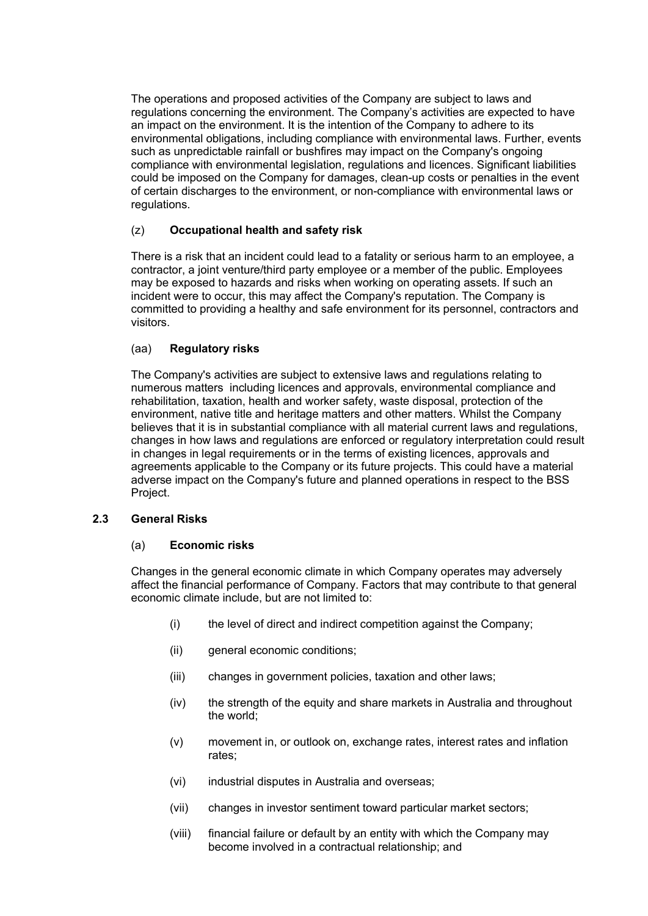The operations and proposed activities of the Company are subject to laws and regulations concerning the environment. The Company's activities are expected to have an impact on the environment. It is the intention of the Company to adhere to its environmental obligations, including compliance with environmental laws. Further, events such as unpredictable rainfall or bushfires may impact on the Company's ongoing compliance with environmental legislation, regulations and licences. Significant liabilities could be imposed on the Company for damages, clean-up costs or penalties in the event of certain discharges to the environment, or non-compliance with environmental laws or regulations.

## (z) **Occupational health and safety risk**

There is a risk that an incident could lead to a fatality or serious harm to an employee, a contractor, a joint venture/third party employee or a member of the public. Employees may be exposed to hazards and risks when working on operating assets. If such an incident were to occur, this may affect the Company's reputation. The Company is committed to providing a healthy and safe environment for its personnel, contractors and visitors.

## (aa) **Regulatory risks**

The Company's activities are subject to extensive laws and regulations relating to numerous matters including licences and approvals, environmental compliance and rehabilitation, taxation, health and worker safety, waste disposal, protection of the environment, native title and heritage matters and other matters. Whilst the Company believes that it is in substantial compliance with all material current laws and regulations, changes in how laws and regulations are enforced or regulatory interpretation could result in changes in legal requirements or in the terms of existing licences, approvals and agreements applicable to the Company or its future projects. This could have a material adverse impact on the Company's future and planned operations in respect to the BSS Project.

#### **2.3 General Risks**

## (a) **Economic risks**

Changes in the general economic climate in which Company operates may adversely affect the financial performance of Company. Factors that may contribute to that general economic climate include, but are not limited to:

- (i) the level of direct and indirect competition against the Company;
- (ii) general economic conditions;
- (iii) changes in government policies, taxation and other laws;
- (iv) the strength of the equity and share markets in Australia and throughout the world;
- (v) movement in, or outlook on, exchange rates, interest rates and inflation rates;
- (vi) industrial disputes in Australia and overseas;
- (vii) changes in investor sentiment toward particular market sectors;
- (viii) financial failure or default by an entity with which the Company may become involved in a contractual relationship; and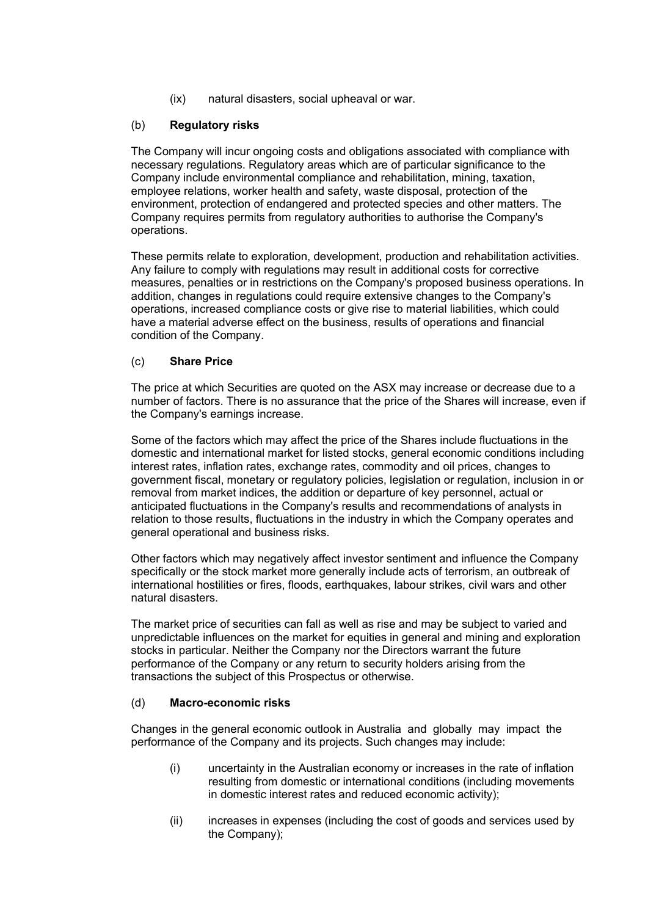(ix) natural disasters, social upheaval or war.

## (b) **Regulatory risks**

The Company will incur ongoing costs and obligations associated with compliance with necessary regulations. Regulatory areas which are of particular significance to the Company include environmental compliance and rehabilitation, mining, taxation, employee relations, worker health and safety, waste disposal, protection of the environment, protection of endangered and protected species and other matters. The Company requires permits from regulatory authorities to authorise the Company's operations.

These permits relate to exploration, development, production and rehabilitation activities. Any failure to comply with regulations may result in additional costs for corrective measures, penalties or in restrictions on the Company's proposed business operations. In addition, changes in regulations could require extensive changes to the Company's operations, increased compliance costs or give rise to material liabilities, which could have a material adverse effect on the business, results of operations and financial condition of the Company.

## (c) **Share Price**

The price at which Securities are quoted on the ASX may increase or decrease due to a number of factors. There is no assurance that the price of the Shares will increase, even if the Company's earnings increase.

Some of the factors which may affect the price of the Shares include fluctuations in the domestic and international market for listed stocks, general economic conditions including interest rates, inflation rates, exchange rates, commodity and oil prices, changes to government fiscal, monetary or regulatory policies, legislation or regulation, inclusion in or removal from market indices, the addition or departure of key personnel, actual or anticipated fluctuations in the Company's results and recommendations of analysts in relation to those results, fluctuations in the industry in which the Company operates and general operational and business risks.

Other factors which may negatively affect investor sentiment and influence the Company specifically or the stock market more generally include acts of terrorism, an outbreak of international hostilities or fires, floods, earthquakes, labour strikes, civil wars and other natural disasters.

The market price of securities can fall as well as rise and may be subject to varied and unpredictable influences on the market for equities in general and mining and exploration stocks in particular. Neither the Company nor the Directors warrant the future performance of the Company or any return to security holders arising from the transactions the subject of this Prospectus or otherwise.

#### (d) **Macro-economic risks**

Changes in the general economic outlook in Australia and globally may impact the performance of the Company and its projects. Such changes may include:

- (i) uncertainty in the Australian economy or increases in the rate of inflation resulting from domestic or international conditions (including movements in domestic interest rates and reduced economic activity);
- (ii) increases in expenses (including the cost of goods and services used by the Company);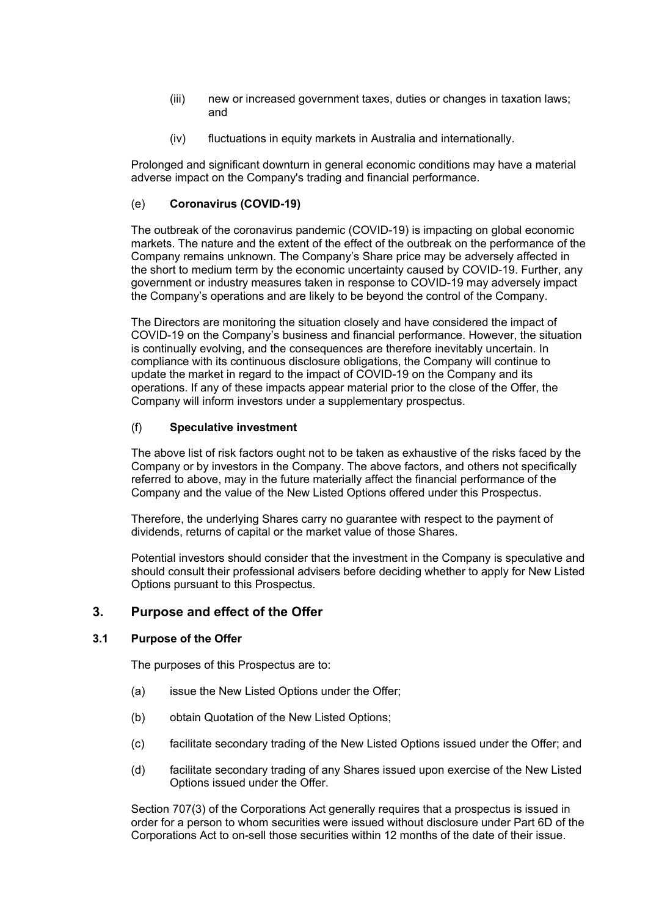- (iii) new or increased government taxes, duties or changes in taxation laws; and
- (iv) fluctuations in equity markets in Australia and internationally.

Prolonged and significant downturn in general economic conditions may have a material adverse impact on the Company's trading and financial performance.

## (e) **Coronavirus (COVID-19)**

The outbreak of the coronavirus pandemic (COVID-19) is impacting on global economic markets. The nature and the extent of the effect of the outbreak on the performance of the Company remains unknown. The Company's Share price may be adversely affected in the short to medium term by the economic uncertainty caused by COVID-19. Further, any government or industry measures taken in response to COVID-19 may adversely impact the Company's operations and are likely to be beyond the control of the Company.

The Directors are monitoring the situation closely and have considered the impact of COVID-19 on the Company's business and financial performance. However, the situation is continually evolving, and the consequences are therefore inevitably uncertain. In compliance with its continuous disclosure obligations, the Company will continue to update the market in regard to the impact of COVID-19 on the Company and its operations. If any of these impacts appear material prior to the close of the Offer, the Company will inform investors under a supplementary prospectus.

## (f) **Speculative investment**

The above list of risk factors ought not to be taken as exhaustive of the risks faced by the Company or by investors in the Company. The above factors, and others not specifically referred to above, may in the future materially affect the financial performance of the Company and the value of the New Listed Options offered under this Prospectus.

Therefore, the underlying Shares carry no guarantee with respect to the payment of dividends, returns of capital or the market value of those Shares.

Potential investors should consider that the investment in the Company is speculative and should consult their professional advisers before deciding whether to apply for New Listed Options pursuant to this Prospectus.

## <span id="page-17-0"></span>**3. Purpose and effect of the Offer**

#### **3.1 Purpose of the Offer**

The purposes of this Prospectus are to:

- (a) issue the New Listed Options under the Offer;
- (b) obtain Quotation of the New Listed Options;
- (c) facilitate secondary trading of the New Listed Options issued under the Offer; and
- (d) facilitate secondary trading of any Shares issued upon exercise of the New Listed Options issued under the Offer.

Section 707(3) of the Corporations Act generally requires that a prospectus is issued in order for a person to whom securities were issued without disclosure under Part 6D of the Corporations Act to on-sell those securities within 12 months of the date of their issue.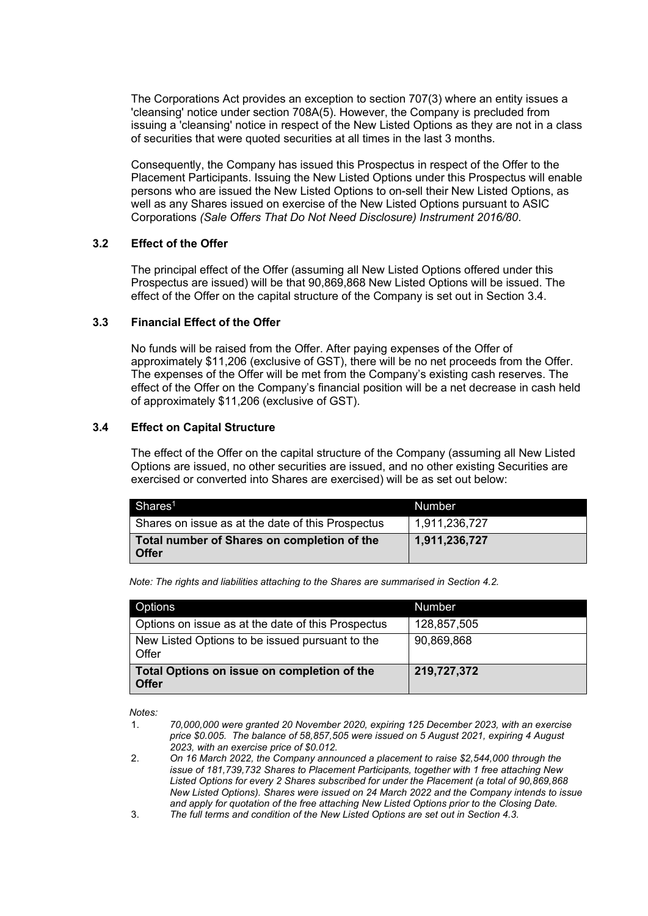The Corporations Act provides an exception to section 707(3) where an entity issues a 'cleansing' notice under section 708A(5). However, the Company is precluded from issuing a 'cleansing' notice in respect of the New Listed Options as they are not in a class of securities that were quoted securities at all times in the last 3 months.

Consequently, the Company has issued this Prospectus in respect of the Offer to the Placement Participants. Issuing the New Listed Options under this Prospectus will enable persons who are issued the New Listed Options to on-sell their New Listed Options, as well as any Shares issued on exercise of the New Listed Options pursuant to ASIC Corporations *(Sale Offers That Do Not Need Disclosure) Instrument 2016/80*.

#### **3.2 Effect of the Offer**

The principal effect of the Offer (assuming all New Listed Options offered under this Prospectus are issued) will be that 90,869,868 New Listed Options will be issued. The effect of the Offer on the capital structure of the Company is set out in Section [3.4.](#page-18-0)

#### **3.3 Financial Effect of the Offer**

No funds will be raised from the Offer. After paying expenses of the Offer of approximately \$11,206 (exclusive of GST), there will be no net proceeds from the Offer. The expenses of the Offer will be met from the Company's existing cash reserves. The effect of the Offer on the Company's financial position will be a net decrease in cash held of approximately \$11,206 (exclusive of GST).

## <span id="page-18-0"></span>**3.4 Effect on Capital Structure**

The effect of the Offer on the capital structure of the Company (assuming all New Listed Options are issued, no other securities are issued, and no other existing Securities are exercised or converted into Shares are exercised) will be as set out below:

| Shares <sup>1</sup>                                    | <b>Number</b> |
|--------------------------------------------------------|---------------|
| Shares on issue as at the date of this Prospectus      | 1,911,236,727 |
| Total number of Shares on completion of the<br>∣ Offer | 1,911,236,727 |

*Note: The rights and liabilities attaching to the Shares are summarised in Section [4.2.](#page-19-1)*

| Options                                                     | <b>Number</b> |
|-------------------------------------------------------------|---------------|
| Options on issue as at the date of this Prospectus          | 128,857,505   |
| New Listed Options to be issued pursuant to the<br>Offer    | 90,869,868    |
| Total Options on issue on completion of the<br><b>Offer</b> | 219,727,372   |

*Notes:*

1. *70,000,000 were granted 20 November 2020, expiring 125 December 2023, with an exercise price \$0.005. The balance of 58,857,505 were issued on 5 August 2021, expiring 4 August 2023, with an exercise price of \$0.012.*

- 2. *On 16 March 2022, the Company announced a placement to raise \$2,544,000 through the issue of 181,739,732 Shares to Placement Participants, together with 1 free attaching New Listed Options for every 2 Shares subscribed for under the Placement (a total of 90,869,868 New Listed Options). Shares were issued on 24 March 2022 and the Company intends to issue and apply for quotation of the free attaching New Listed Options prior to the Closing Date.*
- 3. *The full terms and condition of the New Listed Options are set out in Sectio[n 4.3.](#page-22-0)*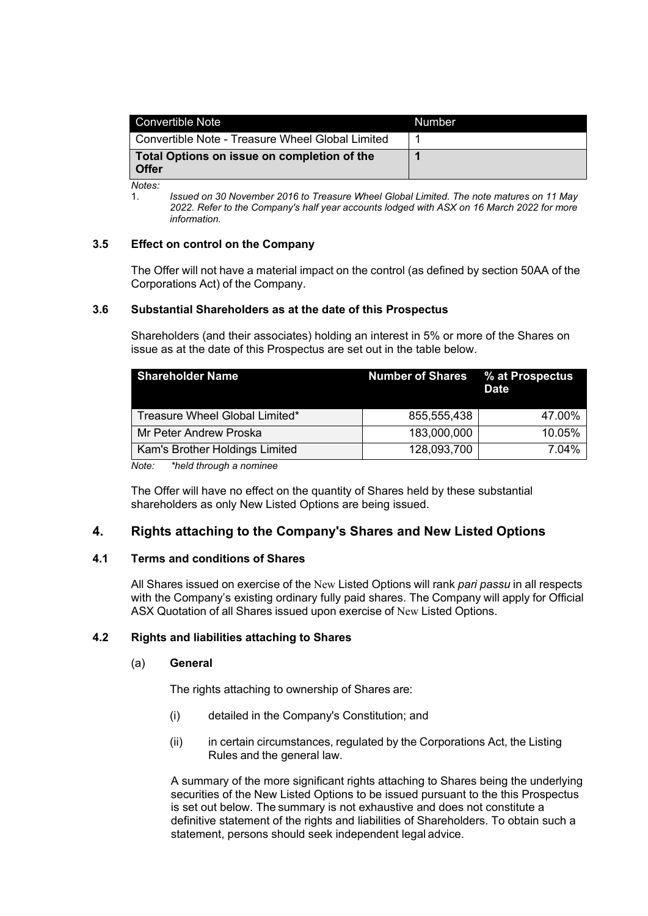| Convertible Note                                            | <b>Number</b> |
|-------------------------------------------------------------|---------------|
| Convertible Note - Treasure Wheel Global Limited            |               |
| Total Options on issue on completion of the<br><b>Offer</b> |               |

*Notes:*

1. *Issued on 30 November 2016 to Treasure Wheel Global Limited. The note matures on 11 May 2022. Refer to the Company's half year accounts lodged with ASX on 16 March 2022 for more information.* 

#### **3.5 Effect on control on the Company**

The Offer will not have a material impact on the control (as defined by section 50AA of the Corporations Act) of the Company.

#### **3.6 Substantial Shareholders as at the date of this Prospectus**

Shareholders (and their associates) holding an interest in 5% or more of the Shares on issue as at the date of this Prospectus are set out in the table below.

| <b>Shareholder Name</b>        | <b>Number of Shares % at Prospectus</b> | <b>Date</b> |
|--------------------------------|-----------------------------------------|-------------|
| Treasure Wheel Global Limited* | 855,555,438                             | 47.00%      |
| Mr Peter Andrew Proska         | 183,000,000                             | 10.05%      |
| Kam's Brother Holdings Limited | 128,093,700                             | 7.04%       |

*Note: \*held through a nominee*

The Offer will have no effect on the quantity of Shares held by these substantial shareholders as only New Listed Options are being issued.

## <span id="page-19-0"></span>**4. Rights attaching to the Company's Shares and New Listed Options**

#### **4.1 Terms and conditions of Shares**

All Shares issued on exercise of the New Listed Options will rank *pari passu* in all respects with the Company's existing ordinary fully paid shares. The Company will apply for Official ASX Quotation of all Shares issued upon exercise of New Listed Options.

## <span id="page-19-1"></span>**4.2 Rights and liabilities attaching to Shares**

#### (a) **General**

The rights attaching to ownership of Shares are:

- (i) detailed in the Company's Constitution; and
- (ii) in certain circumstances, regulated by the Corporations Act, the Listing Rules and the general law.

A summary of the more significant rights attaching to Shares being the underlying securities of the New Listed Options to be issued pursuant to the this Prospectus is set out below. The summary is not exhaustive and does not constitute a definitive statement of the rights and liabilities of Shareholders. To obtain such a statement, persons should seek independent legal advice.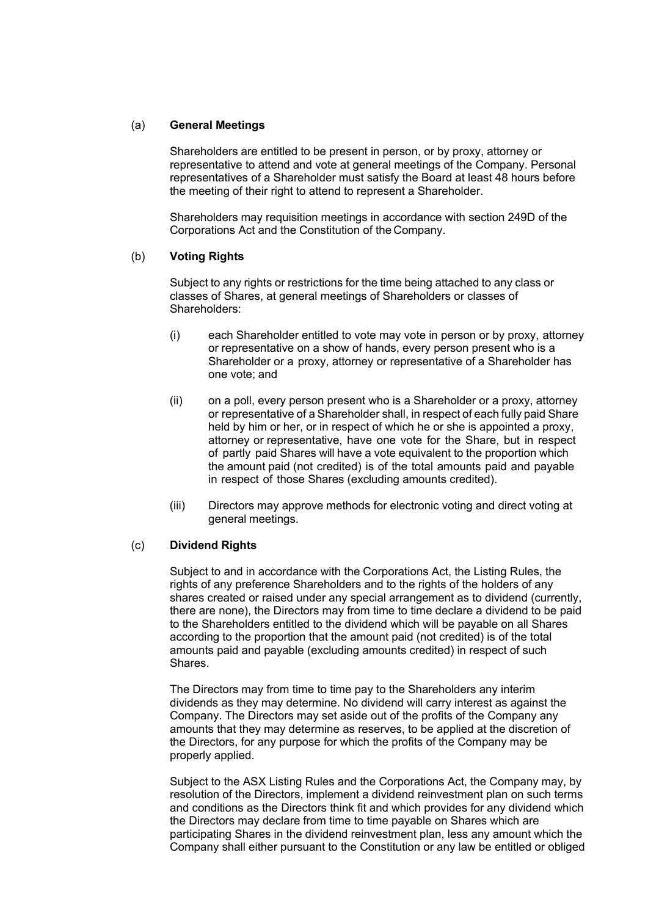#### (a) **General Meetings**

Shareholders are entitled to be present in person, or by proxy, attorney or representative to attend and vote at general meetings of the Company. Personal representatives of a Shareholder must satisfy the Board at least 48 hours before the meeting of their right to attend to represent a Shareholder.

Shareholders may requisition meetings in accordance with section 249D of the Corporations Act and the Constitution of the Company.

#### (b) **Voting Rights**

Subject to any rights or restrictions for the time being attached to any class or classes of Shares, at general meetings of Shareholders or classes of Shareholders:

- (i) each Shareholder entitled to vote may vote in person or by proxy, attorney or representative on a show of hands, every person present who is a Shareholder or a proxy, attorney or representative of a Shareholder has one vote; and
- (ii) on a poll, every person present who is a Shareholder or a proxy, attorney or representative of a Shareholder shall, in respect of each fully paid Share held by him or her, or in respect of which he or she is appointed a proxy, attorney or representative, have one vote for the Share, but in respect of partly paid Shares will have a vote equivalent to the proportion which the amount paid (not credited) is of the total amounts paid and payable in respect of those Shares (excluding amounts credited).
- (iii) Directors may approve methods for electronic voting and direct voting at general meetings.

### (c) **Dividend Rights**

Subject to and in accordance with the Corporations Act, the Listing Rules, the rights of any preference Shareholders and to the rights of the holders of any shares created or raised under any special arrangement as to dividend (currently, there are none), the Directors may from time to time declare a dividend to be paid to the Shareholders entitled to the dividend which will be payable on all Shares according to the proportion that the amount paid (not credited) is of the total amounts paid and payable (excluding amounts credited) in respect of such Shares.

The Directors may from time to time pay to the Shareholders any interim dividends as they may determine. No dividend will carry interest as against the Company. The Directors may set aside out of the profits of the Company any amounts that they may determine as reserves, to be applied at the discretion of the Directors, for any purpose for which the profits of the Company may be properly applied.

Subject to the ASX Listing Rules and the Corporations Act, the Company may, by resolution of the Directors, implement a dividend reinvestment plan on such terms and conditions as the Directors think fit and which provides for any dividend which the Directors may declare from time to time payable on Shares which are participating Shares in the dividend reinvestment plan, less any amount which the Company shall either pursuant to the Constitution or any law be entitled or obliged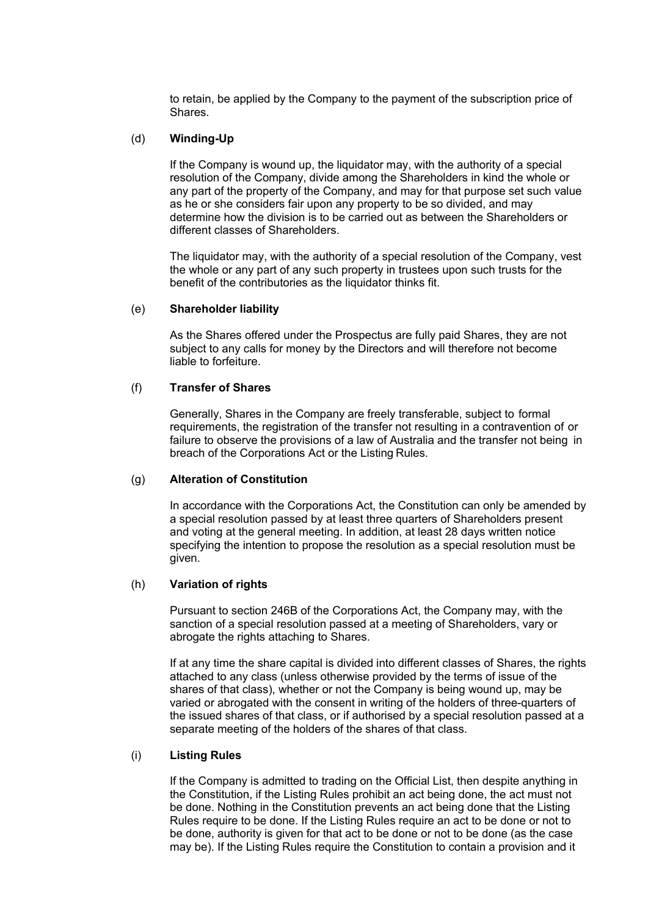to retain, be applied by the Company to the payment of the subscription price of Shares.

#### (d) **Winding-Up**

If the Company is wound up, the liquidator may, with the authority of a special resolution of the Company, divide among the Shareholders in kind the whole or any part of the property of the Company, and may for that purpose set such value as he or she considers fair upon any property to be so divided, and may determine how the division is to be carried out as between the Shareholders or different classes of Shareholders.

The liquidator may, with the authority of a special resolution of the Company, vest the whole or any part of any such property in trustees upon such trusts for the benefit of the contributories as the liquidator thinks fit.

#### (e) **Shareholder liability**

As the Shares offered under the Prospectus are fully paid Shares, they are not subject to any calls for money by the Directors and will therefore not become liable to forfeiture.

#### (f) **Transfer of Shares**

Generally, Shares in the Company are freely transferable, subject to formal requirements, the registration of the transfer not resulting in a contravention of or failure to observe the provisions of a law of Australia and the transfer not being in breach of the Corporations Act or the Listing Rules.

#### (g) **Alteration of Constitution**

In accordance with the Corporations Act, the Constitution can only be amended by a special resolution passed by at least three quarters of Shareholders present and voting at the general meeting. In addition, at least 28 days written notice specifying the intention to propose the resolution as a special resolution must be given.

#### (h) **Variation of rights**

Pursuant to section 246B of the Corporations Act, the Company may, with the sanction of a special resolution passed at a meeting of Shareholders, vary or abrogate the rights attaching to Shares.

If at any time the share capital is divided into different classes of Shares, the rights attached to any class (unless otherwise provided by the terms of issue of the shares of that class), whether or not the Company is being wound up, may be varied or abrogated with the consent in writing of the holders of three-quarters of the issued shares of that class, or if authorised by a special resolution passed at a separate meeting of the holders of the shares of that class.

#### (i) **Listing Rules**

If the Company is admitted to trading on the Official List, then despite anything in the Constitution, if the Listing Rules prohibit an act being done, the act must not be done. Nothing in the Constitution prevents an act being done that the Listing Rules require to be done. If the Listing Rules require an act to be done or not to be done, authority is given for that act to be done or not to be done (as the case may be). If the Listing Rules require the Constitution to contain a provision and it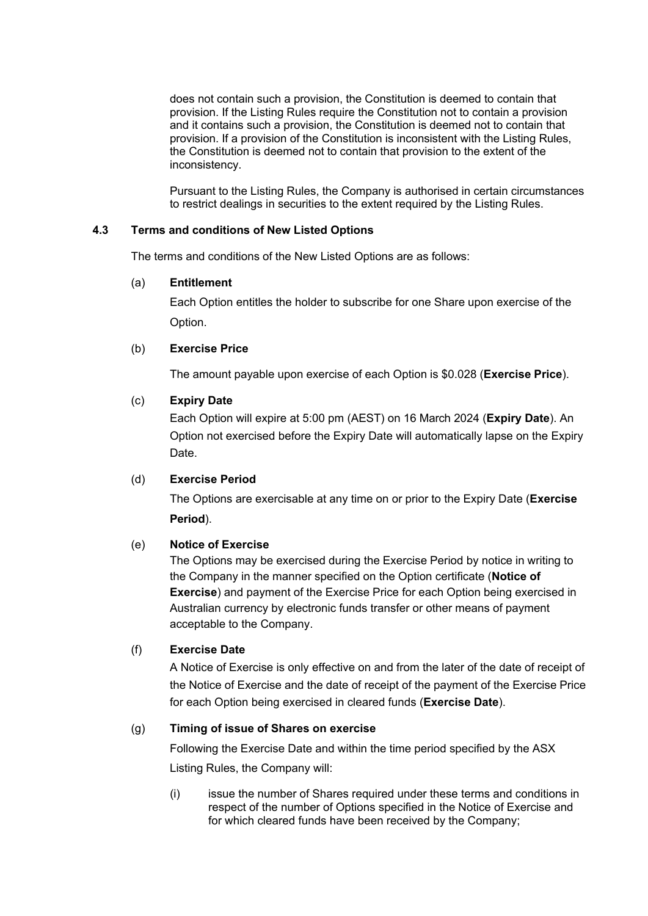does not contain such a provision, the Constitution is deemed to contain that provision. If the Listing Rules require the Constitution not to contain a provision and it contains such a provision, the Constitution is deemed not to contain that provision. If a provision of the Constitution is inconsistent with the Listing Rules, the Constitution is deemed not to contain that provision to the extent of the inconsistency.

Pursuant to the Listing Rules, the Company is authorised in certain circumstances to restrict dealings in securities to the extent required by the Listing Rules.

## <span id="page-22-0"></span>**4.3 Terms and conditions of New Listed Options**

The terms and conditions of the New Listed Options are as follows:

## (a) **Entitlement**

Each Option entitles the holder to subscribe for one Share upon exercise of the Option.

## (b) **Exercise Price**

The amount payable upon exercise of each Option is \$0.028 (**Exercise Price**).

## (c) **Expiry Date**

Each Option will expire at 5:00 pm (AEST) on 16 March 2024 (**Expiry Date**). An Option not exercised before the Expiry Date will automatically lapse on the Expiry Date.

## (d) **Exercise Period**

The Options are exercisable at any time on or prior to the Expiry Date (**Exercise Period**).

## (e) **Notice of Exercise**

The Options may be exercised during the Exercise Period by notice in writing to the Company in the manner specified on the Option certificate (**Notice of Exercise**) and payment of the Exercise Price for each Option being exercised in Australian currency by electronic funds transfer or other means of payment acceptable to the Company.

## (f) **Exercise Date**

A Notice of Exercise is only effective on and from the later of the date of receipt of the Notice of Exercise and the date of receipt of the payment of the Exercise Price for each Option being exercised in cleared funds (**Exercise Date**).

## (g) **Timing of issue of Shares on exercise**

Following the Exercise Date and within the time period specified by the ASX Listing Rules, the Company will:

(i) issue the number of Shares required under these terms and conditions in respect of the number of Options specified in the Notice of Exercise and for which cleared funds have been received by the Company;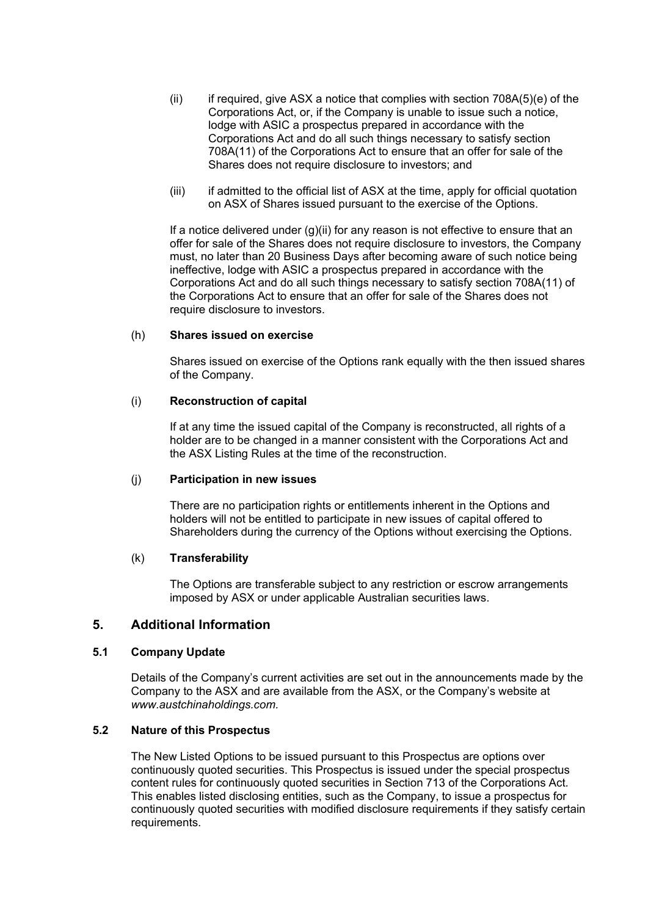- <span id="page-23-1"></span> $(i)$  if required, give ASX a notice that complies with section 708A(5)(e) of the Corporations Act, or, if the Company is unable to issue such a notice, lodge with ASIC a prospectus prepared in accordance with the Corporations Act and do all such things necessary to satisfy section 708A(11) of the Corporations Act to ensure that an offer for sale of the Shares does not require disclosure to investors; and
- (iii) if admitted to the official list of ASX at the time, apply for official quotation on ASX of Shares issued pursuant to the exercise of the Options.

If a notice delivered under  $(g)(ii)$  for any reason is not effective to ensure that an offer for sale of the Shares does not require disclosure to investors, the Company must, no later than 20 Business Days after becoming aware of such notice being ineffective, lodge with ASIC a prospectus prepared in accordance with the Corporations Act and do all such things necessary to satisfy section 708A(11) of the Corporations Act to ensure that an offer for sale of the Shares does not require disclosure to investors.

#### (h) **Shares issued on exercise**

Shares issued on exercise of the Options rank equally with the then issued shares of the Company.

### (i) **Reconstruction of capital**

If at any time the issued capital of the Company is reconstructed, all rights of a holder are to be changed in a manner consistent with the Corporations Act and the ASX Listing Rules at the time of the reconstruction.

#### (j) **Participation in new issues**

There are no participation rights or entitlements inherent in the Options and holders will not be entitled to participate in new issues of capital offered to Shareholders during the currency of the Options without exercising the Options.

#### (k) **Transferability**

The Options are transferable subject to any restriction or escrow arrangements imposed by ASX or under applicable Australian securities laws.

## <span id="page-23-0"></span>**5. Additional Information**

### **5.1 Company Update**

Details of the Company's current activities are set out in the announcements made by the Company to the ASX and are available from the ASX, or the Company's website at *www.austchinaholdings.com.*

#### **5.2 Nature of this Prospectus**

The New Listed Options to be issued pursuant to this Prospectus are options over continuously quoted securities. This Prospectus is issued under the special prospectus content rules for continuously quoted securities in Section 713 of the Corporations Act. This enables listed disclosing entities, such as the Company, to issue a prospectus for continuously quoted securities with modified disclosure requirements if they satisfy certain requirements.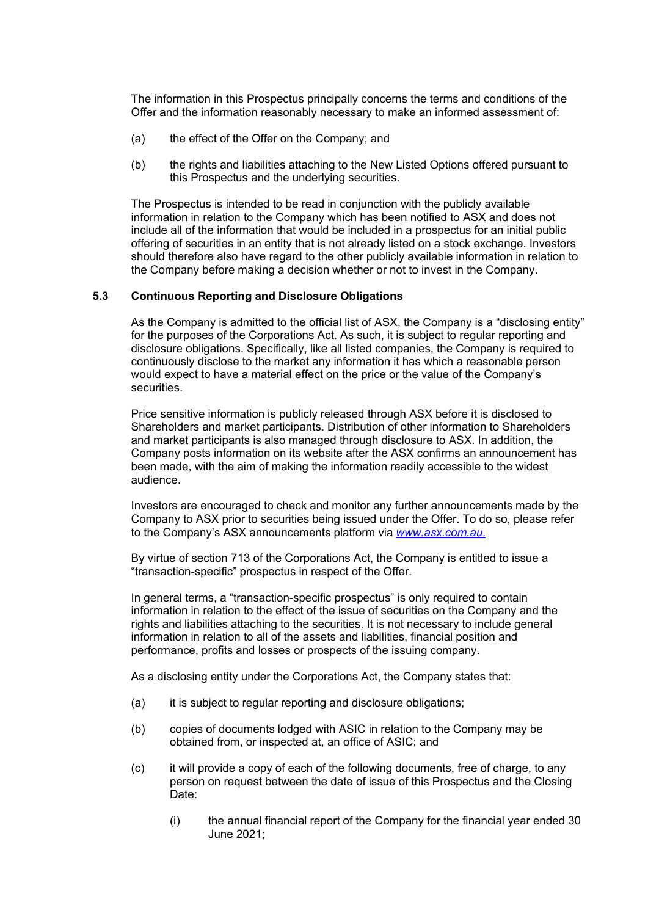The information in this Prospectus principally concerns the terms and conditions of the Offer and the information reasonably necessary to make an informed assessment of:

- (a) the effect of the Offer on the Company; and
- (b) the rights and liabilities attaching to the New Listed Options offered pursuant to this Prospectus and the underlying securities.

The Prospectus is intended to be read in conjunction with the publicly available information in relation to the Company which has been notified to ASX and does not include all of the information that would be included in a prospectus for an initial public offering of securities in an entity that is not already listed on a stock exchange. Investors should therefore also have regard to the other publicly available information in relation to the Company before making a decision whether or not to invest in the Company.

#### **5.3 Continuous Reporting and Disclosure Obligations**

As the Company is admitted to the official list of ASX, the Company is a "disclosing entity" for the purposes of the Corporations Act. As such, it is subject to regular reporting and disclosure obligations. Specifically, like all listed companies, the Company is required to continuously disclose to the market any information it has which a reasonable person would expect to have a material effect on the price or the value of the Company's securities.

Price sensitive information is publicly released through ASX before it is disclosed to Shareholders and market participants. Distribution of other information to Shareholders and market participants is also managed through disclosure to ASX. In addition, the Company posts information on its website after the ASX confirms an announcement has been made, with the aim of making the information readily accessible to the widest audience.

Investors are encouraged to check and monitor any further announcements made by the Company to ASX prior to securities being issued under the Offer. To do so, please refer to the Company's ASX announcements platform via *[www.asx.com.au.](http://www.asx.com.au/)*

By virtue of section 713 of the Corporations Act, the Company is entitled to issue a "transaction-specific" prospectus in respect of the Offer.

In general terms, a "transaction-specific prospectus" is only required to contain information in relation to the effect of the issue of securities on the Company and the rights and liabilities attaching to the securities. It is not necessary to include general information in relation to all of the assets and liabilities, financial position and performance, profits and losses or prospects of the issuing company.

As a disclosing entity under the Corporations Act, the Company states that:

- (a) it is subject to regular reporting and disclosure obligations;
- (b) copies of documents lodged with ASIC in relation to the Company may be obtained from, or inspected at, an office of ASIC; and
- (c) it will provide a copy of each of the following documents, free of charge, to any person on request between the date of issue of this Prospectus and the Closing Date:
	- (i) the annual financial report of the Company for the financial year ended 30 June 2021;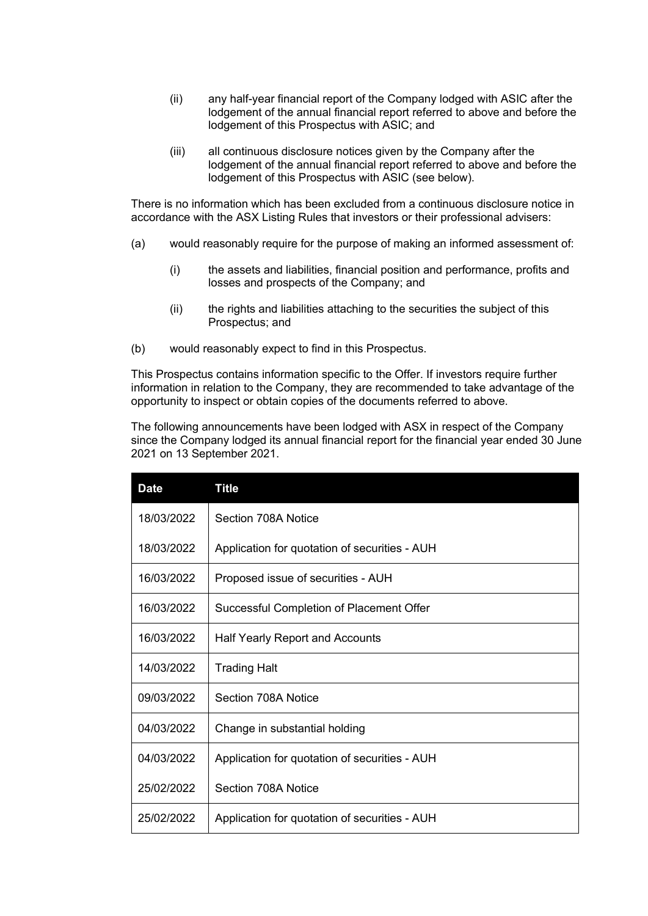- (ii) any half-year financial report of the Company lodged with ASIC after the lodgement of the annual financial report referred to above and before the lodgement of this Prospectus with ASIC; and
- (iii) all continuous disclosure notices given by the Company after the lodgement of the annual financial report referred to above and before the lodgement of this Prospectus with ASIC (see below).

There is no information which has been excluded from a continuous disclosure notice in accordance with the ASX Listing Rules that investors or their professional advisers:

- (a) would reasonably require for the purpose of making an informed assessment of:
	- (i) the assets and liabilities, financial position and performance, profits and losses and prospects of the Company; and
	- (ii) the rights and liabilities attaching to the securities the subject of this Prospectus; and
- (b) would reasonably expect to find in this Prospectus.

This Prospectus contains information specific to the Offer. If investors require further information in relation to the Company, they are recommended to take advantage of the opportunity to inspect or obtain copies of the documents referred to above.

The following announcements have been lodged with ASX in respect of the Company since the Company lodged its annual financial report for the financial year ended 30 June 2021 on 13 September 2021.

| <b>Date</b> | <b>Title</b>                                  |
|-------------|-----------------------------------------------|
| 18/03/2022  | Section 708A Notice                           |
| 18/03/2022  | Application for quotation of securities - AUH |
| 16/03/2022  | Proposed issue of securities - AUH            |
| 16/03/2022  | Successful Completion of Placement Offer      |
| 16/03/2022  | <b>Half Yearly Report and Accounts</b>        |
| 14/03/2022  | <b>Trading Halt</b>                           |
| 09/03/2022  | Section 708A Notice                           |
| 04/03/2022  | Change in substantial holding                 |
| 04/03/2022  | Application for quotation of securities - AUH |
| 25/02/2022  | Section 708A Notice                           |
| 25/02/2022  | Application for quotation of securities - AUH |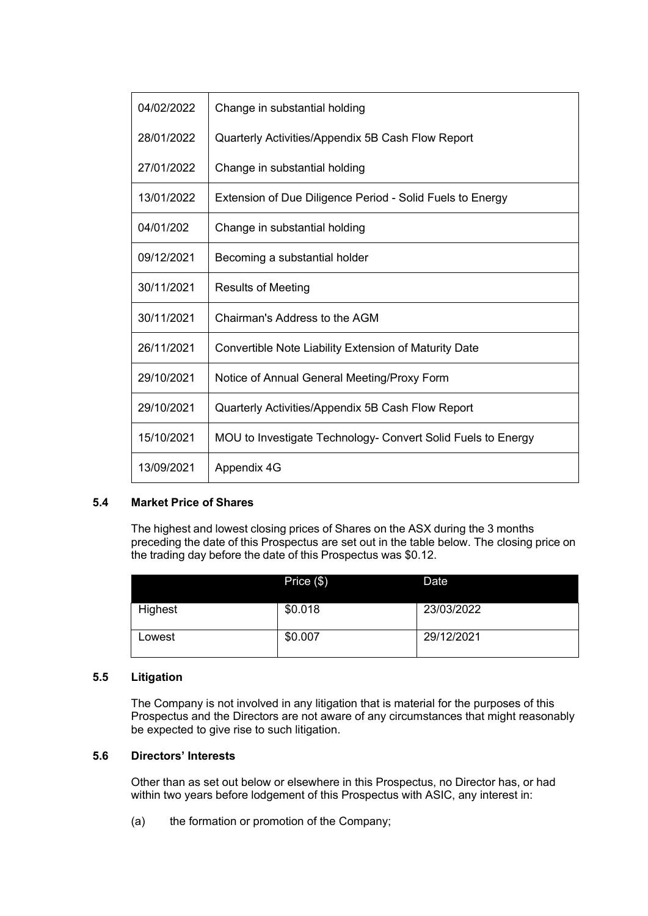| 04/02/2022 | Change in substantial holding                                |
|------------|--------------------------------------------------------------|
| 28/01/2022 | Quarterly Activities/Appendix 5B Cash Flow Report            |
| 27/01/2022 | Change in substantial holding                                |
| 13/01/2022 | Extension of Due Diligence Period - Solid Fuels to Energy    |
| 04/01/202  | Change in substantial holding                                |
| 09/12/2021 | Becoming a substantial holder                                |
| 30/11/2021 | <b>Results of Meeting</b>                                    |
| 30/11/2021 | Chairman's Address to the AGM                                |
| 26/11/2021 | Convertible Note Liability Extension of Maturity Date        |
| 29/10/2021 | Notice of Annual General Meeting/Proxy Form                  |
| 29/10/2021 | Quarterly Activities/Appendix 5B Cash Flow Report            |
| 15/10/2021 | MOU to Investigate Technology- Convert Solid Fuels to Energy |
| 13/09/2021 | Appendix 4G                                                  |

#### **5.4 Market Price of Shares**

The highest and lowest closing prices of Shares on the ASX during the 3 months preceding the date of this Prospectus are set out in the table below. The closing price on the trading day before the date of this Prospectus was \$0.12.

|         | Price $(\$)$ | Date       |
|---------|--------------|------------|
| Highest | \$0.018      | 23/03/2022 |
| Lowest  | \$0.007      | 29/12/2021 |

#### **5.5 Litigation**

The Company is not involved in any litigation that is material for the purposes of this Prospectus and the Directors are not aware of any circumstances that might reasonably be expected to give rise to such litigation.

## **5.6 Directors' Interests**

Other than as set out below or elsewhere in this Prospectus, no Director has, or had within two years before lodgement of this Prospectus with ASIC, any interest in:

(a) the formation or promotion of the Company;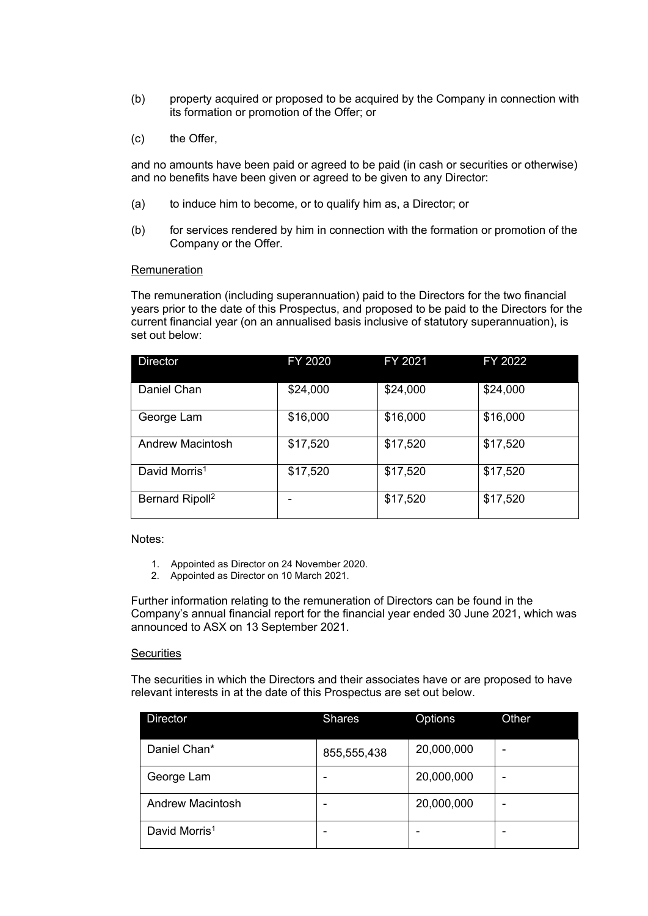- (b) property acquired or proposed to be acquired by the Company in connection with its formation or promotion of the Offer; or
- (c) the Offer,

and no amounts have been paid or agreed to be paid (in cash or securities or otherwise) and no benefits have been given or agreed to be given to any Director:

- (a) to induce him to become, or to qualify him as, a Director; or
- (b) for services rendered by him in connection with the formation or promotion of the Company or the Offer.

#### **Remuneration**

The remuneration (including superannuation) paid to the Directors for the two financial years prior to the date of this Prospectus, and proposed to be paid to the Directors for the current financial year (on an annualised basis inclusive of statutory superannuation), is set out below:

| <b>Director</b>                   | FY 2020  | FY 2021  | FY 2022  |
|-----------------------------------|----------|----------|----------|
| Daniel Chan                       | \$24,000 | \$24,000 | \$24,000 |
| George Lam                        | \$16,000 | \$16,000 | \$16,000 |
| <b>Andrew Macintosh</b>           | \$17,520 | \$17,520 | \$17,520 |
| David Morris <sup>1</sup>         | \$17,520 | \$17,520 | \$17,520 |
| <b>Bernard Ripoll<sup>2</sup></b> |          | \$17,520 | \$17,520 |

Notes:

- 1. Appointed as Director on 24 November 2020.
- 2. Appointed as Director on 10 March 2021.

Further information relating to the remuneration of Directors can be found in the Company's annual financial report for the financial year ended 30 June 2021, which was announced to ASX on 13 September 2021.

#### **Securities**

The securities in which the Directors and their associates have or are proposed to have relevant interests in at the date of this Prospectus are set out below.

| <b>Director</b>           | <b>Shares</b> | Options    | Other |
|---------------------------|---------------|------------|-------|
| Daniel Chan*              | 855,555,438   | 20,000,000 | -     |
| George Lam                |               | 20,000,000 |       |
| <b>Andrew Macintosh</b>   |               | 20,000,000 |       |
| David Morris <sup>1</sup> |               |            |       |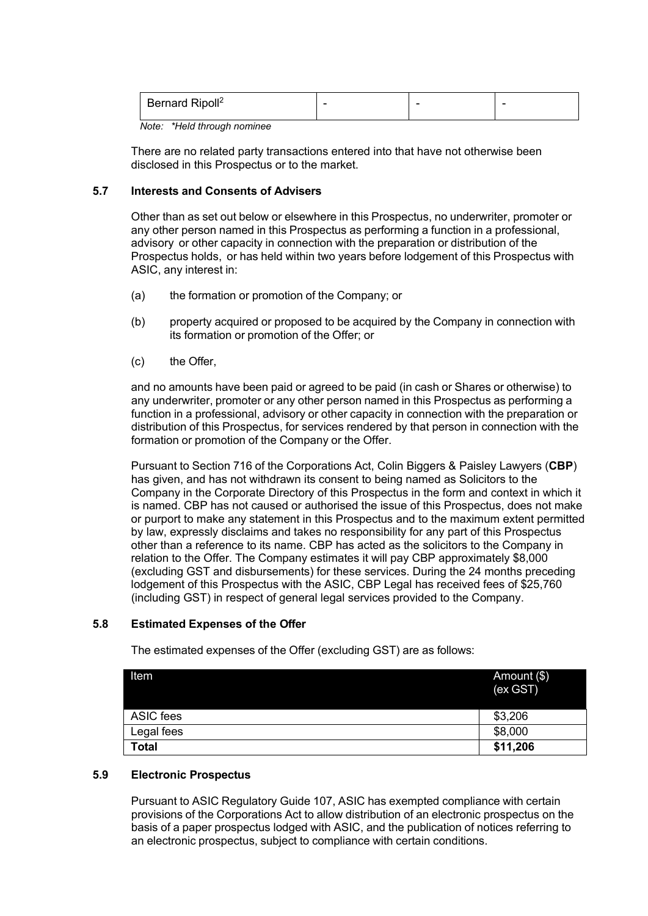|  | Bernard Ripoll <sup>2</sup> |  |  | - |
|--|-----------------------------|--|--|---|
|--|-----------------------------|--|--|---|

*Note: \*Held through nominee*

There are no related party transactions entered into that have not otherwise been disclosed in this Prospectus or to the market.

#### **5.7 Interests and Consents of Advisers**

Other than as set out below or elsewhere in this Prospectus, no underwriter, promoter or any other person named in this Prospectus as performing a function in a professional, advisory or other capacity in connection with the preparation or distribution of the Prospectus holds, or has held within two years before lodgement of this Prospectus with ASIC, any interest in:

- (a) the formation or promotion of the Company; or
- (b) property acquired or proposed to be acquired by the Company in connection with its formation or promotion of the Offer; or
- (c) the Offer,

and no amounts have been paid or agreed to be paid (in cash or Shares or otherwise) to any underwriter, promoter or any other person named in this Prospectus as performing a function in a professional, advisory or other capacity in connection with the preparation or distribution of this Prospectus, for services rendered by that person in connection with the formation or promotion of the Company or the Offer.

Pursuant to Section 716 of the Corporations Act, Colin Biggers & Paisley Lawyers (**CBP**) has given, and has not withdrawn its consent to being named as Solicitors to the Company in the Corporate Directory of this Prospectus in the form and context in which it is named. CBP has not caused or authorised the issue of this Prospectus, does not make or purport to make any statement in this Prospectus and to the maximum extent permitted by law, expressly disclaims and takes no responsibility for any part of this Prospectus other than a reference to its name. CBP has acted as the solicitors to the Company in relation to the Offer. The Company estimates it will pay CBP approximately \$8,000 (excluding GST and disbursements) for these services. During the 24 months preceding lodgement of this Prospectus with the ASIC, CBP Legal has received fees of \$25,760 (including GST) in respect of general legal services provided to the Company.

## **5.8 Estimated Expenses of the Offer**

The estimated expenses of the Offer (excluding GST) are as follows:

| ltem         | Amount (\$)<br>(ex GST) |
|--------------|-------------------------|
| ASIC fees    | \$3,206                 |
| Legal fees   | \$8,000                 |
| <b>Total</b> | \$11,206                |

#### **5.9 Electronic Prospectus**

Pursuant to ASIC Regulatory Guide 107, ASIC has exempted compliance with certain provisions of the Corporations Act to allow distribution of an electronic prospectus on the basis of a paper prospectus lodged with ASIC, and the publication of notices referring to an electronic prospectus, subject to compliance with certain conditions.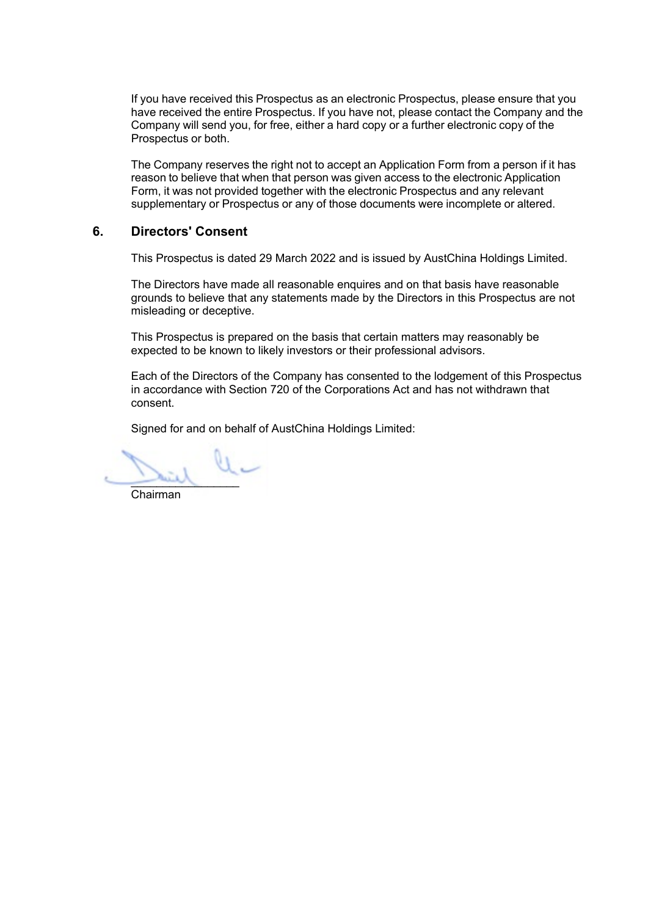If you have received this Prospectus as an electronic Prospectus, please ensure that you have received the entire Prospectus. If you have not, please contact the Company and the Company will send you, for free, either a hard copy or a further electronic copy of the Prospectus or both.

The Company reserves the right not to accept an Application Form from a person if it has reason to believe that when that person was given access to the electronic Application Form, it was not provided together with the electronic Prospectus and any relevant supplementary or Prospectus or any of those documents were incomplete or altered.

## <span id="page-29-0"></span>**6. Directors' Consent**

This Prospectus is dated 29 March 2022 and is issued by AustChina Holdings Limited.

The Directors have made all reasonable enquires and on that basis have reasonable grounds to believe that any statements made by the Directors in this Prospectus are not misleading or deceptive.

This Prospectus is prepared on the basis that certain matters may reasonably be expected to be known to likely investors or their professional advisors.

Each of the Directors of the Company has consented to the lodgement of this Prospectus in accordance with Section 720 of the Corporations Act and has not withdrawn that consent.

Signed for and on behalf of AustChina Holdings Limited:

 $\overline{\phantom{a}}$ 

Chairman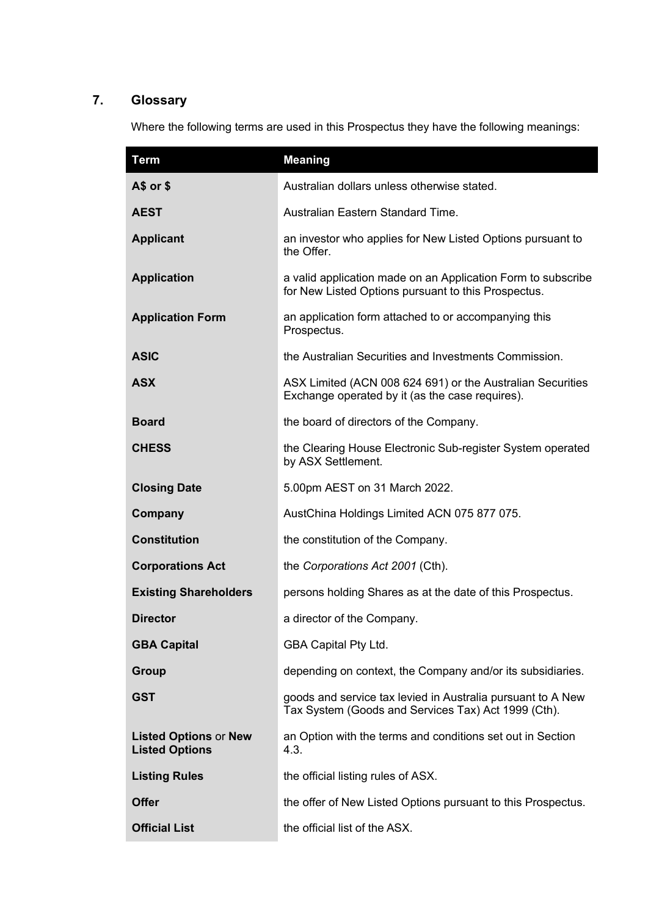## <span id="page-30-0"></span>**7. Glossary**

Where the following terms are used in this Prospectus they have the following meanings:

| <b>Term</b>                                           | <b>Meaning</b>                                                                                                      |
|-------------------------------------------------------|---------------------------------------------------------------------------------------------------------------------|
| $A$$ or $$$                                           | Australian dollars unless otherwise stated.                                                                         |
| <b>AEST</b>                                           | Australian Eastern Standard Time.                                                                                   |
| <b>Applicant</b>                                      | an investor who applies for New Listed Options pursuant to<br>the Offer.                                            |
| <b>Application</b>                                    | a valid application made on an Application Form to subscribe<br>for New Listed Options pursuant to this Prospectus. |
| <b>Application Form</b>                               | an application form attached to or accompanying this<br>Prospectus.                                                 |
| <b>ASIC</b>                                           | the Australian Securities and Investments Commission.                                                               |
| <b>ASX</b>                                            | ASX Limited (ACN 008 624 691) or the Australian Securities<br>Exchange operated by it (as the case requires).       |
| <b>Board</b>                                          | the board of directors of the Company.                                                                              |
| <b>CHESS</b>                                          | the Clearing House Electronic Sub-register System operated<br>by ASX Settlement.                                    |
| <b>Closing Date</b>                                   | 5.00pm AEST on 31 March 2022.                                                                                       |
| Company                                               | AustChina Holdings Limited ACN 075 877 075.                                                                         |
| <b>Constitution</b>                                   | the constitution of the Company.                                                                                    |
| <b>Corporations Act</b>                               | the Corporations Act 2001 (Cth).                                                                                    |
| <b>Existing Shareholders</b>                          | persons holding Shares as at the date of this Prospectus.                                                           |
| <b>Director</b>                                       | a director of the Company.                                                                                          |
| <b>GBA Capital</b>                                    | <b>GBA Capital Pty Ltd.</b>                                                                                         |
| Group                                                 | depending on context, the Company and/or its subsidiaries.                                                          |
| GST                                                   | goods and service tax levied in Australia pursuant to A New<br>Tax System (Goods and Services Tax) Act 1999 (Cth).  |
| <b>Listed Options or New</b><br><b>Listed Options</b> | an Option with the terms and conditions set out in Section<br>4.3.                                                  |
| <b>Listing Rules</b>                                  | the official listing rules of ASX.                                                                                  |
| <b>Offer</b>                                          | the offer of New Listed Options pursuant to this Prospectus.                                                        |
| <b>Official List</b>                                  | the official list of the ASX.                                                                                       |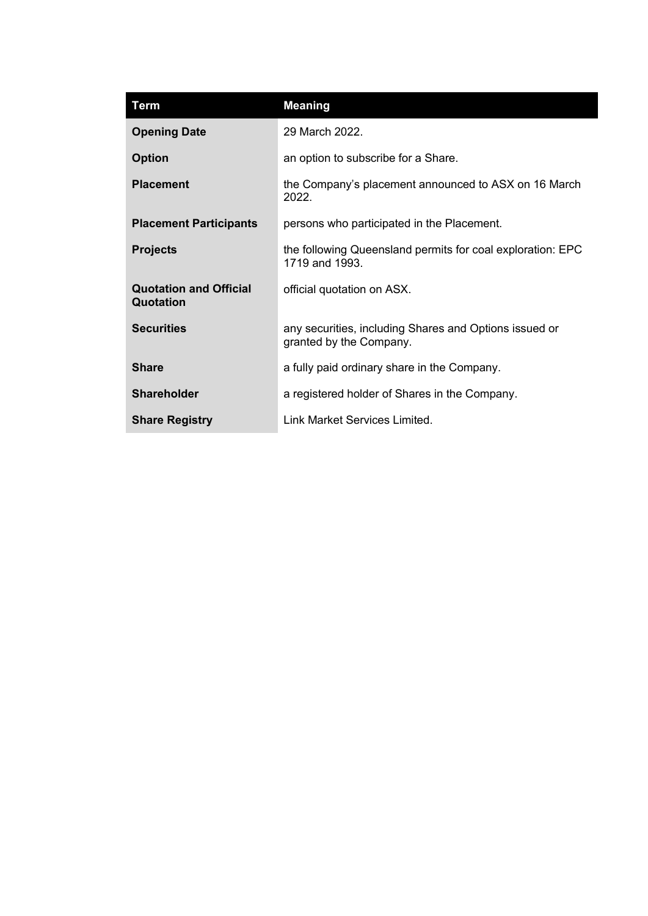| <b>Term</b>                                | <b>Meaning</b>                                                                    |
|--------------------------------------------|-----------------------------------------------------------------------------------|
| <b>Opening Date</b>                        | 29 March 2022.                                                                    |
| <b>Option</b>                              | an option to subscribe for a Share.                                               |
| <b>Placement</b>                           | the Company's placement announced to ASX on 16 March<br>2022.                     |
| <b>Placement Participants</b>              | persons who participated in the Placement.                                        |
| <b>Projects</b>                            | the following Queensland permits for coal exploration: EPC<br>1719 and 1993.      |
| <b>Quotation and Official</b><br>Quotation | official quotation on ASX.                                                        |
| <b>Securities</b>                          | any securities, including Shares and Options issued or<br>granted by the Company. |
| <b>Share</b>                               | a fully paid ordinary share in the Company.                                       |
| <b>Shareholder</b>                         | a registered holder of Shares in the Company.                                     |
| <b>Share Registry</b>                      | Link Market Services Limited.                                                     |